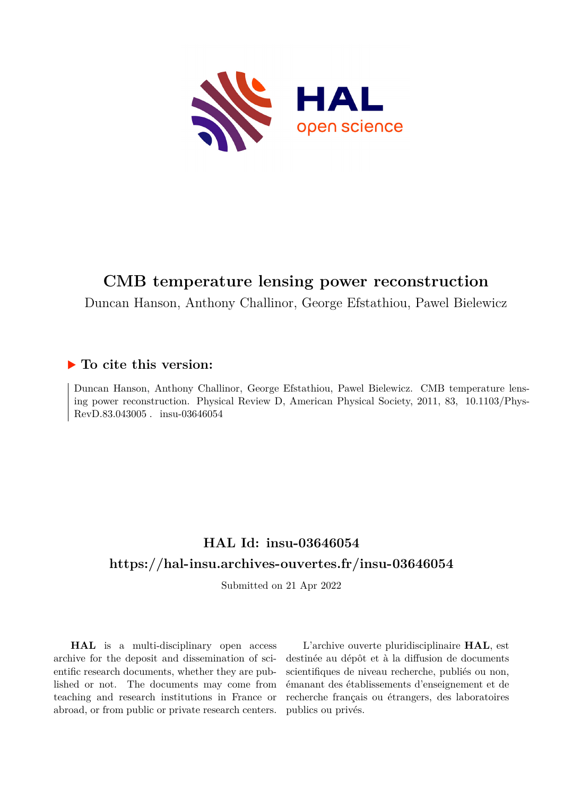

## **CMB temperature lensing power reconstruction**

Duncan Hanson, Anthony Challinor, George Efstathiou, Pawel Bielewicz

### **To cite this version:**

Duncan Hanson, Anthony Challinor, George Efstathiou, Pawel Bielewicz. CMB temperature lensing power reconstruction. Physical Review D, American Physical Society,  $2011$ , 83,  $10.1103$ /Phys-RevD.83.043005. insu-03646054

### **HAL Id: insu-03646054 <https://hal-insu.archives-ouvertes.fr/insu-03646054>**

Submitted on 21 Apr 2022

**HAL** is a multi-disciplinary open access archive for the deposit and dissemination of scientific research documents, whether they are published or not. The documents may come from teaching and research institutions in France or abroad, or from public or private research centers.

L'archive ouverte pluridisciplinaire **HAL**, est destinée au dépôt et à la diffusion de documents scientifiques de niveau recherche, publiés ou non, émanant des établissements d'enseignement et de recherche français ou étrangers, des laboratoires publics ou privés.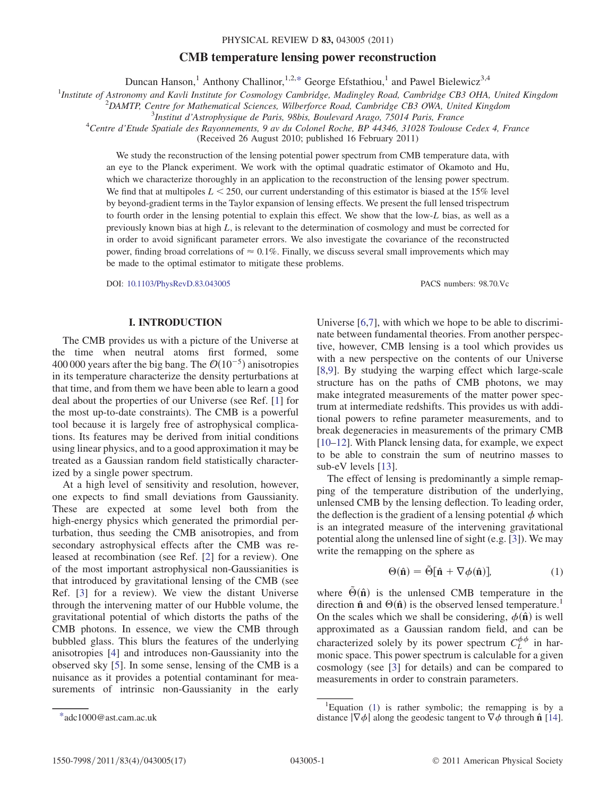## $\mathbf{F}_{\mathbf{r}}$  temperature lensing power reconstruction PHYSICAL REVIEW D 83, 043005 (2011)<br>CMB temperature lensing power reconstruction

Duncan Hanson,<sup>1</sup> Anthony Challinor,<sup>1,2,\*</sup> George Efstathiou,<sup>1</sup> and Pawel Bielewicz<sup>3,4</sup>

<sup>1</sup>Institute of Astronomy and Kavli Institute for Cosmology Cambridge, Madingley Road, Cambridge CB3 OHA, United Kingdom<br><sup>2</sup>DAMTP Centre for Mathematical Sciences, Wilherforce Boad, Cambridge CB3 OWA, United Kingdom

 $^{2}$ DAMTP, Centre for Mathematical Sciences, Wilberforce Road, Cambridge CB3 OWA, United Kingdom

 $3$ Institut d'Astrophysique de Paris, 98bis, Boulevard Arago, 75014 Paris, France

Centre d'Etude Spatiale des Rayonnements, 9 av du Colonel Roche, BP 44346, 31028 Toulouse Cedex 4, France

(Received 26 August 2010; published 16 February 2011)

We study the reconstruction of the lensing potential power spectrum from CMB temperature data, with an eye to the Planck experiment. We work with the optimal quadratic estimator of Okamoto and Hu, which we characterize thoroughly in an application to the reconstruction of the lensing power spectrum. We find that at multipoles  $L \le 250$ , our current understanding of this estimator is biased at the 15% level by beyond-gradient terms in the Taylor expansion of lensing effects. We present the full lensed trispectrum to fourth order in the lensing potential to explain this effect. We show that the low-L bias, as well as a previously known bias at high  $L$ , is relevant to the determination of cosmology and must be corrected for in order to avoid significant parameter errors. We also investigate the covariance of the reconstructed power, finding broad correlations of  $\approx 0.1\%$ . Finally, we discuss several small improvements which may be made to the optimal estimator to mitigate these problems.

DOI: [10.1103/PhysRevD.83.043005](http://dx.doi.org/10.1103/PhysRevD.83.043005) PACS numbers: 98.70.Vc

### I. INTRODUCTION

The CMB provides us with a picture of the Universe at the time when neutral atoms first formed, some 400 000 years after the big bang. The  $\mathcal{O}(10^{-5})$  anisotropies<br>in its temperature characterize the density perturbations at in its temperature characterize the density perturbations at that time, and from them we have been able to learn a good deal about the properties of our Universe (see Ref. [1] for the most up-to-date constraints). The CMB is a powerful tool because it is largely free of astrophysical complications. Its features may be derived from initial conditions using linear physics, and to a good approximation it may be treated as a Gaussian random field statistically characterized by a single power spectrum.

At a high level of sensitivity and resolution, however, one expects to find small deviations from Gaussianity. These are expected at some level both from the high-energy physics which generated the primordial perturbation, thus seeding the CMB anisotropies, and from secondary astrophysical effects after the CMB was released at recombination (see Ref. [2] for a review). One of the most important astrophysical non-Gaussianities is that introduced by gravitational lensing of the CMB (see Ref. [3] for a review). We view the distant Universe through the intervening matter of our Hubble volume, the gravitational potential of which distorts the paths of the CMB photons. In essence, we view the CMB through bubbled glass. This blurs the features of the underlying anisotropies [4] and introduces non-Gaussianity into the observed sky [5]. In some sense, lensing of the CMB is a nuisance as it provides a potential contaminant for measurements of intrinsic non-Gaussianity in the early Universe [6,7], with which we hope to be able to discriminate between fundamental theories. From another perspective, however, CMB lensing is a tool which provides us with a new perspective on the contents of our Universe [8,9]. By studying the warping effect which large-scale structure has on the paths of CMB photons, we may make integrated measurements of the matter power spectrum at intermediate redshifts. This provides us with additional powers to refine parameter measurements, and to break degeneracies in measurements of the primary CMB [10–12]. With Planck lensing data, for example, we expect to be able to constrain the sum of neutrino masses to sub-eV levels [13].

The effect of lensing is predominantly a simple remapping of the temperature distribution of the underlying, unlensed CMB by the lensing deflection. To leading order, the deflection is the gradient of a lensing potential  $\phi$  which is an integrated measure of the intervening gravitational potential along the unlensed line of sight (e.g. [3]). We may write the remapping on the sphere as

$$
\Theta(\hat{\mathbf{n}}) = \tilde{\Theta}[\hat{\mathbf{n}} + \nabla \phi(\hat{\mathbf{n}})],\tag{1}
$$

where  $\Theta(\hat{\bf{n}})$  is the unlensed CMB temperature in the direction  $\hat{\mathbf{n}}$  and  $\Theta(\hat{\mathbf{n}})$  is the observed lensed temperature.<sup>1</sup> On the scales which we shall be considering,  $\phi(\hat{\mathbf{n}})$  is well approximated as a Gaussian random field, and can be characterized solely by its power spectrum  $C_L^{\phi\phi}$  in harmonic space. This power spectrum is calculable for a given cosmology (see [3] for details) and can be compared to measurements in order to constrain parameters.

<sup>\*</sup>adc1000@ast.cam.ac.uk

<sup>&</sup>lt;sup>1</sup>Equation (1) is rather symbolic; the remapping is by a distance  $|\nabla \phi|$  along the geodesic tangent to  $\nabla \phi$  through  $\hat{\mathbf{n}}$  [14].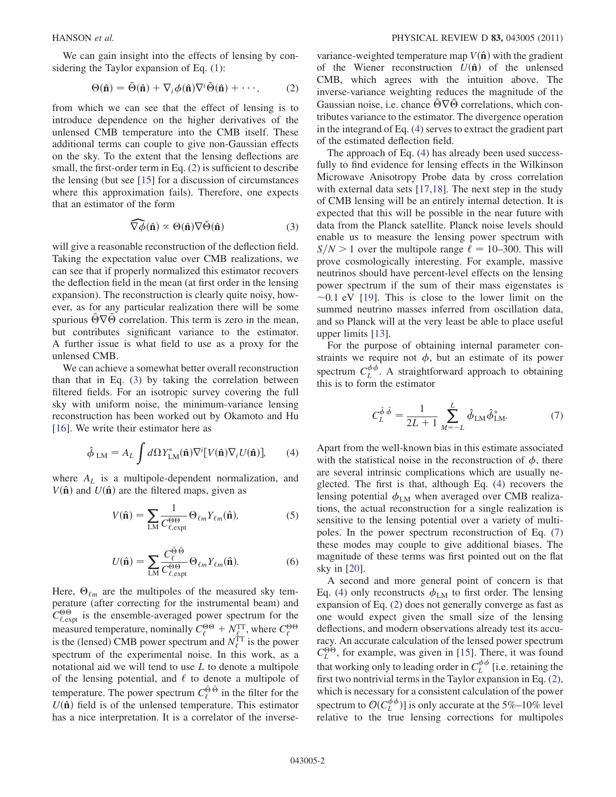We can gain insight into the effects of lensing by considering the Taylor expansion of Eq. (1):

$$
\Theta(\hat{\mathbf{n}}) = \tilde{\Theta}(\hat{\mathbf{n}}) + \nabla_i \phi(\hat{\mathbf{n}}) \nabla^i \tilde{\Theta}(\hat{\mathbf{n}}) + \cdots,
$$
 (2)

from which we can see that the effect of lensing is to introduce dependence on the higher derivatives of the unlensed CMB temperature into the CMB itself. These additional terms can couple to give non-Gaussian effects on the sky. To the extent that the lensing deflections are small, the first-order term in Eq. (2) is sufficient to describe the lensing (but see [15] for a discussion of circumstances where this approximation fails). Therefore, one expects that an estimator of the form

$$
\widehat{\nabla \phi}(\hat{\mathbf{n}}) \propto \Theta(\hat{\mathbf{n}}) \nabla \tilde{\Theta}(\hat{\mathbf{n}})
$$
 (3)

will give a reasonable reconstruction of the deflection field. Taking the expectation value over CMB realizations, we can see that if properly normalized this estimator recovers the deflection field in the mean (at first order in the lensing expansion). The reconstruction is clearly quite noisy, however, as for any particular realization there will be some spurious  $\Theta \nabla \Theta$  correlation. This term is zero in the mean, but contributes significant variance to the estimator. A further issue is what field to use as a proxy for the unlensed CMB.

We can achieve a somewhat better overall reconstruction than that in Eq. (3) by taking the correlation between filtered fields. For an isotropic survey covering the full sky with uniform noise, the minimum-variance lensing reconstruction has been worked out by Okamoto and Hu [16]. We write their estimator here as

$$
\hat{\phi}_{LM} = A_L \int d\Omega Y_{LM}^*(\hat{\mathbf{n}}) \nabla^i [V(\hat{\mathbf{n}}) \nabla_i U(\hat{\mathbf{n}})], \qquad (4)
$$

where  $A_L$  is a multipole-dependent normalization, and  $V(\hat{\bf n})$  and  $U(\hat{\bf n})$  are the filtered maps, given as

$$
V(\hat{\mathbf{n}}) = \sum_{LM} \frac{1}{C_{\ell, \text{expt}}^{\Theta \Theta}} \Theta_{\ell m} Y_{\ell m}(\hat{\mathbf{n}}), \tag{5}
$$

$$
U(\hat{\mathbf{n}}) = \sum_{LM} \frac{C_{\ell}^{\tilde{\Theta}\tilde{\Theta}}}{C_{\ell, \text{expt}}^{\Theta\Theta}} \Theta_{\ell m} Y_{\ell m}(\hat{\mathbf{n}}). \tag{6}
$$

Here,  $\Theta_{\ell m}$  are the multipoles of the measured sky temperature (after correcting for the instrumental beam) and  $C_{\ell, \text{expt}}^{\Theta\Theta}$  is the ensemble-averaged power spectrum for the measured temperature, nominally  $C_{\ell}^{\Theta\Theta} + N_{\ell}^{\text{TT}}$ , where  $C_{\ell}^{\Theta\Theta}$  is the (lensed) CMB power spectrum and  $N_{\ell}^{\text{TT}}$  is the power spectrum of the experimental noise. In this work, as a notational aid we will tend to use L to denote a multipole of the lensing potential, and  $\ell$  to denote a multipole of temperature. The power spectrum  $C_{\ell}^{\tilde{\Theta} \tilde{\Theta}}$  in the filter for the  $U(\hat{\bf{n}})$  field is of the unlensed temperature. This estimator has a nice interpretation. It is a correlator of the inversevariance-weighted temperature map  $V(\hat{\bf{n}})$  with the gradient of the Wiener reconstruction  $U(\hat{\bf n})$  of the unlensed CMB, which agrees with the intuition above. The inverse-variance weighting reduces the magnitude of the Gaussian noise, i.e. chance  $\tilde{\Theta} \nabla \tilde{\Theta}$  correlations, which contributes variance to the estimator. The divergence operation in the integrand of Eq. (4) serves to extract the gradient part of the estimated deflection field.

The approach of Eq. (4) has already been used successfully to find evidence for lensing effects in the Wilkinson Microwave Anisotropy Probe data by cross correlation with external data sets [17,18]. The next step in the study of CMB lensing will be an entirely internal detection. It is expected that this will be possible in the near future with data from the Planck satellite. Planck noise levels should enable us to measure the lensing power spectrum with  $S/N > 1$  over the multipole range  $\ell = 10-300$ . This will prove cosmologically interesting. For example, massive neutrinos should have percent-level effects on the lensing power spectrum if the sum of their mass eigenstates is  $\sim$ 0.1 eV [19]. This is close to the lower limit on the summed neutrino masses inferred from oscillation data, and so Planck will at the very least be able to place useful upper limits [13].

For the purpose of obtaining internal parameter constraints we require not  $\phi$ , but an estimate of its power spectrum  $C_L^{\phi\phi}$ . A straightforward approach to obtaining this is to form the estimator

$$
C_L^{\hat{\phi}\hat{\phi}} = \frac{1}{2L+1} \sum_{M=-L}^{L} \hat{\phi}_{LM} \hat{\phi}_{LM}^*.
$$
 (7)

Apart from the well-known bias in this estimate associated with the statistical noise in the reconstruction of  $\phi$ , there are several intrinsic complications which are usually neglected. The first is that, although Eq. (4) recovers the lensing potential  $\phi_{LM}$  when averaged over CMB realizations, the actual reconstruction for a single realization is sensitive to the lensing potential over a variety of multipoles. In the power spectrum reconstruction of Eq. (7) these modes may couple to give additional biases. The magnitude of these terms was first pointed out on the flat sky in [20].

A second and more general point of concern is that Eq. (4) only reconstructs  $\phi_{LM}$  to first order. The lensing expansion of Eq. (2) does not generally converge as fast as one would expect given the small size of the lensing deflections, and modern observations already test its accuracy. An accurate calculation of the lensed power spectrum  $C_L^{\Theta\Theta}$ , for example, was given in [15]. There, it was found that working only to leading order in  $C_L^{\phi\phi}$  [i.e. retaining the first two nontrivial terms in the Taylor expansion in Eq. (2), which is necessary for a consistent calculation of the power spectrum to  $\mathcal{O}(C_L^{d,\phi})$ ] is only accurate at the 5%–10% level<br>relative to the true lensing corrections for multipoles relative to the true lensing corrections for multipoles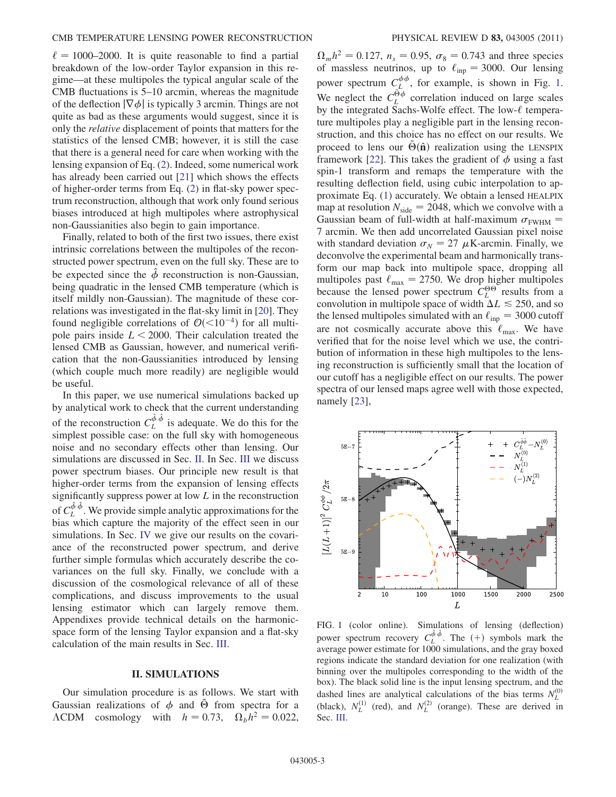$\ell = 1000-2000$ . It is quite reasonable to find a partial breakdown of the low-order Taylor expansion in this regime—at these multipoles the typical angular scale of the CMB fluctuations is 5–10 arcmin, whereas the magnitude of the deflection  $|\nabla \phi|$  is typically 3 arcmin. Things are not quite as bad as these arguments would suggest, since it is only the relative displacement of points that matters for the statistics of the lensed CMB; however, it is still the case that there is a general need for care when working with the lensing expansion of Eq. (2). Indeed, some numerical work has already been carried out [21] which shows the effects of higher-order terms from Eq. (2) in flat-sky power spectrum reconstruction, although that work only found serious biases introduced at high multipoles where astrophysical non-Gaussianities also begin to gain importance.

Finally, related to both of the first two issues, there exist intrinsic correlations between the multipoles of the reconstructed power spectrum, even on the full sky. These are to be expected since the  $\hat{\phi}$  reconstruction is non-Gaussian, being quadratic in the lensed CMB temperature (which is itself mildly non-Gaussian). The magnitude of these correlations was investigated in the flat-sky limit in [20]. They found negligible correlations of  $\mathcal{O}(<10^{-4})$  for all multi-<br>note pairs inside  $I < 2000$ . Their calculation treated the pole pairs inside  $L < 2000$ . Their calculation treated the lensed CMB as Gaussian, however, and numerical verification that the non-Gaussianities introduced by lensing (which couple much more readily) are negligible would be useful.

In this paper, we use numerical simulations backed up by analytical work to check that the current understanding of the reconstruction  $C_L^{\hat{\phi}}$  is adequate. We do this for the simplest possible case: on the full sky with homogeneous noise and no secondary effects other than lensing. Our simulations are discussed in Sec. II. In Sec. III we discuss power spectrum biases. Our principle new result is that higher-order terms from the expansion of lensing effects significantly suppress power at low  $L$  in the reconstruction of  $C_L^{\hat{\phi}}$ . We provide simple analytic approximations for the bias which capture the majority of the effect seen in our simulations. In Sec. IV we give our results on the covariance of the reconstructed power spectrum, and derive further simple formulas which accurately describe the covariances on the full sky. Finally, we conclude with a discussion of the cosmological relevance of all of these complications, and discuss improvements to the usual lensing estimator which can largely remove them. Appendixes provide technical details on the harmonicspace form of the lensing Taylor expansion and a flat-sky calculation of the main results in Sec. III.

### II. SIMULATIONS

Our simulation procedure is as follows. We start with Gaussian realizations of  $\phi$  and  $\ddot{\Theta}$  from spectra for a  $\Lambda$ CDM cosmology with  $h = 0.73$ ,  $\Omega_b h^2 = 0.022$ ,

 $\Omega_m h^2 = 0.127$ ,  $n_s = 0.95$ ,  $\sigma_8 = 0.743$  and three species<br>of massless neutrinos, up to  $\ell_1 = 3000$ . Our lensing of massless neutrinos, up to  $\ell_{\text{inp}} = 3000$ . Our lensing power spectrum  $C_L^{\phi\phi}$ , for example, is shown in Fig. 1. We neglect the  $C_L^{\oplus \phi}$  correlation induced on large scales by the integrated Sachs-Wolfe effect. The low- $\ell$  temperature multipoles play a negligible part in the lensing reconstruction, and this choice has no effect on our results. We proceed to lens our  $\Theta(\hat{\mathbf{n}})$  realization using the LENSPIX framework [22]. This takes the gradient of  $\phi$  using a fast spin-1 transform and remaps the temperature with the resulting deflection field, using cubic interpolation to approximate Eq. (1) accurately. We obtain a lensed HEALPIX map at resolution  $N_{side} = 2048$ , which we convolve with a Gaussian beam of full-width at half-maximum  $\sigma_{\text{FWHM}} =$ Gaussian beam of full-width at half-maximum  $\sigma_{\text{FWHM}} = 7$  arcmin. We then add uncorrelated Gaussian pixel noise with standard deviation  $\sigma_N = 27 \mu$ K-arcmin. Finally, we deconvolve the experimental beam and harmonically transdeconvolve the experimental beam and harmonically transform our map back into multipole space, dropping all multipoles past  $\ell_{\text{max}} = 2750$ . We drop higher multipoles because the lensed power spectrum  $C_L^{\Theta}$  results from a convolution in multipole space of width  $\Delta L \le 250$ , and so the lensed multipoles simulated with an  $\ell_{\text{inp}} = 3000$  cutoff are not cosmically accurate above this  $\ell_{\text{max}}$ . We have verified that for the noise level which we use, the contribution of information in these high multipoles to the lensing reconstruction is sufficiently small that the location of our cutoff has a negligible effect on our results. The power spectra of our lensed maps agree well with those expected, namely [23],



FIG. 1 (color online). Simulations of lensing (deflection) power spectrum recovery  $C_L^{\hat{\phi}} \hat{\phi}$ . The  $(+)$  symbols mark the symbols power estimate for 1000 simulations and the gray boxed average power estimate for 1000 simulations, and the gray boxed regions indicate the standard deviation for one realization (with binning over the multipoles corresponding to the width of the box). The black solid line is the input lensing spectrum, and the dashed lines are analytical calculations of the bias terms  $N_L^{(0)}$ (black),  $N_L^{(1)}$  (red), and  $N_L^{(2)}$  (orange). These are derived in Sec. III.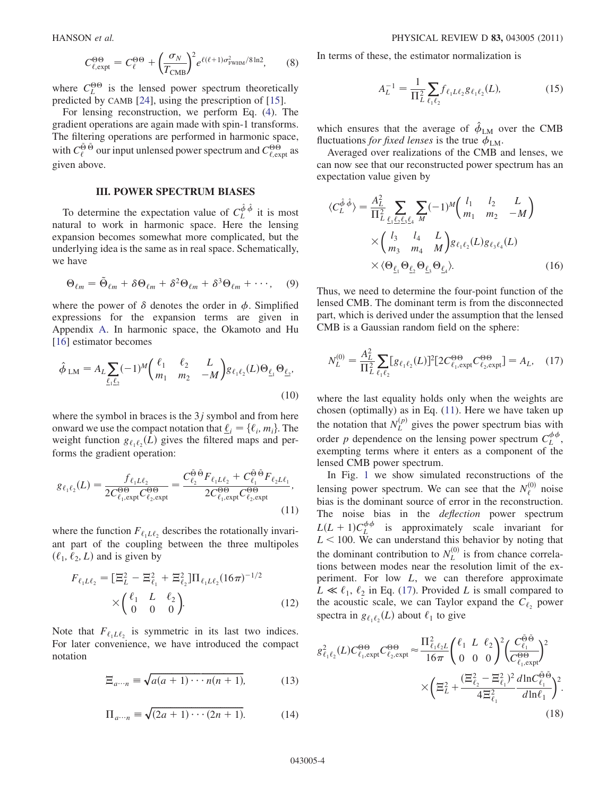$$
C_{\ell, \text{expt}}^{\Theta \Theta} = C_{\ell}^{\Theta \Theta} + \left(\frac{\sigma_N}{T_{\text{CMB}}}\right)^2 e^{\ell(\ell+1)\sigma_{\text{FWHM}}^2/8 \ln 2}, \quad (8)
$$

where  $C_L^{\Theta\Theta}$  is the lensed power spectrum theoretically predicted by CAMB [24], using the prescription of [15].

For lensing reconstruction, we perform Eq. (4). The gradient operations are again made with spin-1 transforms. The filtering operations are performed in harmonic space, with  $C_{\ell}^{\tilde{\Theta}}$  our input unlensed power spectrum and  $C_{\ell, \text{expt}}^{\Theta \Theta}$  as given above.

#### **III. POWER SPECTRUM BIASES**

To determine the expectation value of  $C_L^{\hat{\phi}\hat{\phi}}$  it is most natural to work in harmonic space. Here the lensing expansion becomes somewhat more complicated, but the underlying idea is the same as in real space. Schematically, we have

$$
\Theta_{\ell m} = \tilde{\Theta}_{\ell m} + \delta \Theta_{\ell m} + \delta^2 \Theta_{\ell m} + \delta^3 \Theta_{\ell m} + \cdots, \quad (9)
$$

where the power of  $\delta$  denotes the order in  $\phi$ . Simplified expressions for the expansion terms are given in Appendix A. In harmonic space, the Okamoto and Hu [16] estimator becomes

$$
\hat{\phi}_{LM} = A_L \sum_{\underline{\ell_1} \underline{\ell_2}} (-1)^M \begin{pmatrix} \ell_1 & \ell_2 & L \\ m_1 & m_2 & -M \end{pmatrix} g_{\ell_1 \ell_2}(L) \Theta_{\underline{\ell_1}} \Theta_{\underline{\ell_2}},
$$
\n(10)

where the symbol in braces is the  $3j$  symbol and from here onward we use the compact notation that  $\underline{\ell}_i = {\ell_i, m_i}$ . The weight function  $g_{\ell_1\ell_2}(L)$  gives the filtered maps and performs the gradient operation:

$$
g_{\ell_1 \ell_2}(L) = \frac{f_{\ell_1 L \ell_2}}{2C_{\ell_1, \text{expt}}^{\Theta \Theta} C_{\ell_2, \text{expt}}^{\Theta \Theta}} = \frac{C_{\ell_2}^{\tilde{\Theta} \tilde{\Theta}} F_{\ell_1 L \ell_2} + C_{\ell_1}^{\tilde{\Theta} \tilde{\Theta}} F_{\ell_2 L \ell_1}}{2C_{\ell_1, \text{expt}}^{\Theta \Theta} C_{\ell_2, \text{expt}}^{\Theta \Theta}},
$$
\n(11)

where the function  $F_{\ell_1L\ell_2}$  describes the rotationally invariant part of the coupling between the three multipoles  $(\ell_1, \ell_2, L)$  and is given by

$$
F_{\ell_1 L \ell_2} = [\Xi_L^2 - \Xi_{\ell_1}^2 + \Xi_{\ell_2}^2] \Pi_{\ell_1 L \ell_2} (16\pi)^{-1/2}
$$
  
 
$$
\times \begin{pmatrix} \ell_1 & L & \ell_2 \\ 0 & 0 & 0 \end{pmatrix} . \tag{12}
$$

Note that  $F_{\ell_1 L \ell_2}$  is symmetric in its last two indices. For later convenience, we have introduced the compact notation

$$
\Xi_{a\cdots n} \equiv \sqrt{a(a+1)\cdots n(n+1)},\tag{13}
$$

$$
\Pi_{a\cdots n} = \sqrt{(2a+1)\cdots(2n+1)}.
$$
 (14)

In terms of these, the estimator normalization is

$$
A_L^{-1} = \frac{1}{\Pi_L^2} \sum_{\ell_1 \ell_2} f_{\ell_1 L \ell_2} g_{\ell_1 \ell_2}(L), \tag{15}
$$

which ensures that the average of  $\hat{\phi}_{LM}$  over the CMB fluctuations *for fixed lenses* is the true  $\phi_{LM}$ .

Averaged over realizations of the CMB and lenses, we can now see that our reconstructed power spectrum has an expectation value given by

$$
\langle C_L^{\hat{\phi}} \hat{\phi} \rangle = \frac{A_L^2}{\Pi_L^2} \sum_{\underline{\ell_1 \ell_2 \ell_3 \ell_4}} \sum_M (-1)^M \begin{pmatrix} l_1 & l_2 & L \\ m_1 & m_2 & -M \end{pmatrix}
$$

$$
\times \begin{pmatrix} l_3 & l_4 & L \\ m_3 & m_4 & M \end{pmatrix} g_{\ell_1 \ell_2}(L) g_{\ell_3 \ell_4}(L)
$$

$$
\times \langle \Theta_{\underline{\ell_1}} \Theta_{\underline{\ell_2}} \Theta_{\underline{\ell_3}} \Theta_{\underline{\ell_4}} \rangle.
$$
(16)

Thus, we need to determine the four-point function of the lensed CMB. The dominant term is from the disconnected part, which is derived under the assumption that the lensed CMB is a Gaussian random field on the sphere:

$$
N_L^{(0)} = \frac{A_L^2}{\Pi_L^2} \sum_{\ell_1 \ell_2} [g_{\ell_1 \ell_2}(L)]^2 [2C_{\ell_1, \text{expt}}^{\Theta \Theta} C_{\ell_2, \text{expt}}^{\Theta \Theta}] = A_L, \quad (17)
$$

where the last equality holds only when the weights are chosen (optimally) as in Eq. (11). Here we have taken up the notation that  $N_L^{(p)}$  gives the power spectrum bias with order p dependence on the lensing power spectrum  $C_L^{\phi\phi}$ , exempting terms where it enters as a component of the lensed CMB power spectrum.

In Fig. 1 we show simulated reconstructions of the lensing power spectrum. We can see that the  $N_{\ell}^{(0)}$  noise bias is the dominant source of error in the reconstruction. The noise bias in the *deflection* power spectrum  $L(L+1)C_L^{\phi\phi}$  is approximately scale invariant for  $L < 100$  We can understand this behavior by noting that  $L < 100$ . We can understand this behavior by noting that the dominant contribution to  $N_L^{(0)}$  is from chance correlations between modes near the resolution limit of the experiment. For low L, we can therefore approximate  $L \ll l_1, l_2$  in Eq. (17). Provided L is small compared to the acoustic scale, we can Taylor expand the  $C_{\ell_2}$  power spectra in  $g_{\ell_1\ell_2}(L)$  about  $\ell_1$  to give

$$
g_{\ell_1\ell_2}^2(L)C_{\ell_1,\text{expt}}^{\Theta\Theta}C_{\ell_2,\text{expt}}^{\Theta\Theta} \approx \frac{\Pi_{\ell_1\ell_2L}^2}{16\pi} \left(\begin{array}{ccc} \ell_1 & L & \ell_2\\ 0 & 0 & 0 \end{array}\right)^2 \left(\frac{C_{\ell_1}^{\tilde{\Theta}\tilde{\Theta}}}{C_{\ell_1,\text{expt}}^{\Theta\Theta}}\right)^2
$$
\n
$$
\times \left(\Xi_L^2 + \frac{(\Xi_{\ell_2}^2 - \Xi_{\ell_1}^2)^2}{4\Xi_{\ell_1}^2} \frac{d\ln C_{\ell_1}^{\tilde{\Theta}\tilde{\Theta}}}{d\ln\ell_1}\right)^2. \tag{18}
$$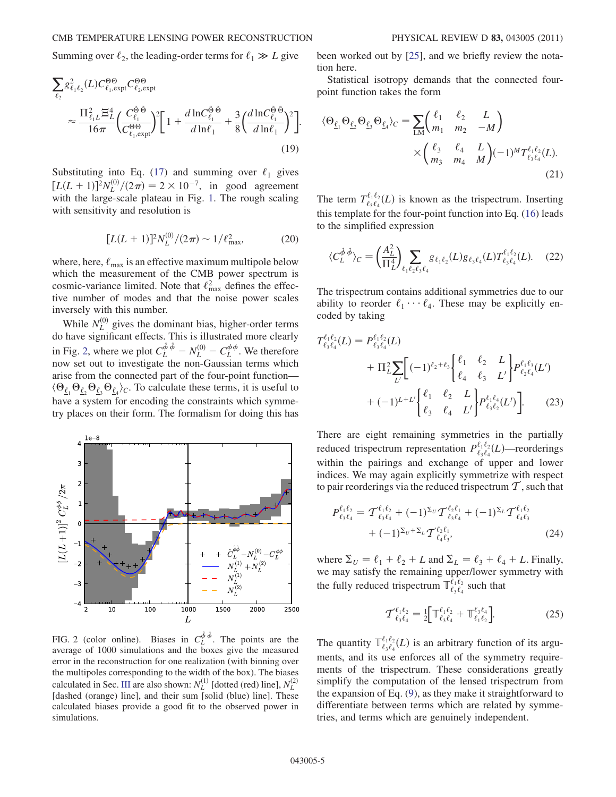Summing over  $\ell_2$ , the leading-order terms for  $\ell_1 \gg L$  give

$$
\sum_{\ell_2} g_{\ell_1 \ell_2}^2(L) C_{\ell_1, \text{expt}}^{\Theta \Theta} C_{\ell_2, \text{expt}}^{\Theta \Theta}
$$
\n
$$
\approx \frac{\Pi_{\ell_1 L}^2 \Xi_L^4}{16\pi} \left( \frac{C_{\ell_1}^{\tilde{\Theta} \tilde{\Theta}}}{C_{\ell_1, \text{expt}}^{\Theta \Theta}}^2 \right)^2 \left[ 1 + \frac{d \ln C_{\ell_1}^{\tilde{\Theta} \tilde{\Theta}}}{d \ln \ell_1} + \frac{3}{8} \left( \frac{d \ln C_{\ell_1}^{\tilde{\Theta} \tilde{\Theta}}}{d \ln \ell_1} \right)^2 \right] \tag{19}
$$

Substituting into Eq. (17) and summing over  $\ell_1$  gives  $[L(L+1)]^2 N_L^{(0)}/(2\pi) = 2 \times 10^{-7}$ , in good agreement<br>with the large-scale plateau in Fig. 1. The rough scaling with the large-scale plateau in Fig. 1. The rough scaling with sensitivity and resolution is

$$
[L(L+1)]^2 N_L^{(0)}/(2\pi) \sim 1/\ell_{\text{max}}^2,\tag{20}
$$

:

where, here,  $\ell_{\text{max}}$  is an effective maximum multipole below which the measurement of the CMB power spectrum is cosmic-variance limited. Note that  $\ell_{\text{max}}^2$  defines the effective number of modes and that the noise power scales inversely with this number.

While  $N_L^{(0)}$  gives the dominant bias, higher-order terms do have significant effects. This is illustrated more clearly in Fig. 2, where we plot  $C_L^{\hat{\phi} \hat{\phi}}$  –<br>now set out to investigate the r  $- N_L^{(0)}$  $L_{L}^{(0)} - C_{L}^{\phi\phi}$ . We therefore now set out to investigate the non-Gaussian terms which arise from the connected part of the four-point function—  $\langle \Theta_{\ell_1} \Theta_{\ell_2} \Theta_{\ell_3} \Theta_{\ell_4} \rangle_C$ . To calculate these terms, it is useful to have a system for appealing the constraints which symmehave a system for encoding the constraints which symmetry places on their form. The formalism for doing this has



FIG. 2 (color online). Biases in  $C^{\hat{\phi}\hat{\phi}}_L$ . The points are the average of 1000 simulations and the boxes give the measured error in the reconstruction for one realization (with binning over the multipoles corresponding to the width of the box). The biases calculated in Sec. III are also shown:  $N_L^{(1)}$  [dotted (red) line],  $N_L^{(2)}$ [dashed (orange) line], and their sum [solid (blue) line]. These calculated biases provide a good fit to the observed power in simulations.

been worked out by [25], and we briefly review the notation here.

Statistical isotropy demands that the connected fourpoint function takes the form

$$
\langle \Theta_{\underline{\ell}_1} \Theta_{\underline{\ell}_2} \Theta_{\underline{\ell}_3} \Theta_{\underline{\ell}_4} \rangle_C = \sum_{LM} \begin{pmatrix} \ell_1 & \ell_2 & L \\ m_1 & m_2 & -M \end{pmatrix}
$$

$$
\times \begin{pmatrix} \ell_3 & \ell_4 & L \\ m_3 & m_4 & M \end{pmatrix} (-1)^M T_{\ell_3 \ell_4}^{\ell_1 \ell_2}(L).
$$
(21)

The term  $T_{\xi_1 \xi_4}^{\ell_1 \ell_2}(L)$  is known as the trispectrum. Inserting this template for the four point function into Eq. (16) loods this template for the four-point function into Eq. (16) leads to the simplified expression

$$
\langle C_L^{\hat{\phi}\hat{\phi}} \rangle_C = \left( \frac{A_L^2}{\Pi_L^4} \right) \sum_{\ell_1 \ell_2 \ell_3 \ell_4} g_{\ell_1 \ell_2}(L) g_{\ell_3 \ell_4}(L) T_{\ell_3 \ell_4}^{\ell_1 \ell_2}(L). \tag{22}
$$

The trispectrum contains additional symmetries due to our ability to reorder  $\ell_1 \cdots \ell_4$ . These may be explicitly encoded by taking

$$
T_{\ell_3 \ell_4}^{\ell_1 \ell_2}(L) = P_{\ell_3 \ell_4}^{\ell_1 \ell_2}(L) + \Pi_L^2 \sum_{L'} \left[ (-1)^{\ell_2 + \ell_3} \begin{cases} \ell_1 & \ell_2 & L \\ \ell_4 & \ell_3 & L' \end{cases} \right] P_{\ell_2 \ell_4}^{\ell_1 \ell_3}(L')
$$
  
+  $(-1)^{L+L'} \left\{ \begin{array}{ll} \ell_1 & \ell_2 & L \\ \ell_3 & \ell_4 & L' \end{array} \right\} P_{\ell_3 \ell_2}^{\ell_1 \ell_3}(L') \left].$  (23)

There are eight remaining symmetries in the partially reduced trispectrum representation  $P_{\ell_3\ell_4}^{\ell_1\ell_2}(L)$ —reorderings within the pairings and exchange of upper and lower indices. We may again explicitly symmetrize with respect to pair reorderings via the reduced trispectrum  $\mathcal T$ , such that

$$
P_{\ell_3\ell_4}^{\ell_1\ell_2} = \mathcal{T}_{\ell_3\ell_4}^{\ell_1\ell_2} + (-1)^{\Sigma_U} \mathcal{T}_{\ell_3\ell_4}^{\ell_2\ell_1} + (-1)^{\Sigma_L} \mathcal{T}_{\ell_4\ell_3}^{\ell_1\ell_2} + (-1)^{\Sigma_U + \Sigma_L} \mathcal{T}_{\ell_4\ell_3}^{\ell_2\ell_1},
$$
\n
$$
(24)
$$

where  $\Sigma_U = \ell_1 + \ell_2 + L$  and  $\Sigma_L = \ell_3 + \ell_4 + L$ . Finally, we may satisfy the remaining upper/lower symmetry with the fully reduced trispectrum  $\mathbb{T}_{\ell_3\ell_4}^{\ell_1\ell_2}$  such that

$$
\mathcal{T}_{\ell_3 \ell_4}^{\ell_1 \ell_2} = \frac{1}{2} \Big[ \mathbb{T}_{\ell_3 \ell_4}^{\ell_1 \ell_2} + \mathbb{T}_{\ell_1 \ell_2}^{\ell_3 \ell_4} \Big]. \tag{25}
$$

The quantity  $\mathbb{T}_{\ell_3 \ell_4}^{\ell_1 \ell_2}(L)$  is an arbitrary function of its argu-<br>ments, and its arguments are conference all of the symmetry requires ments, and its use enforces all of the symmetry requirements of the trispectrum. These considerations greatly simplify the computation of the lensed trispectrum from the expansion of Eq. (9), as they make it straightforward to differentiate between terms which are related by symmetries, and terms which are genuinely independent.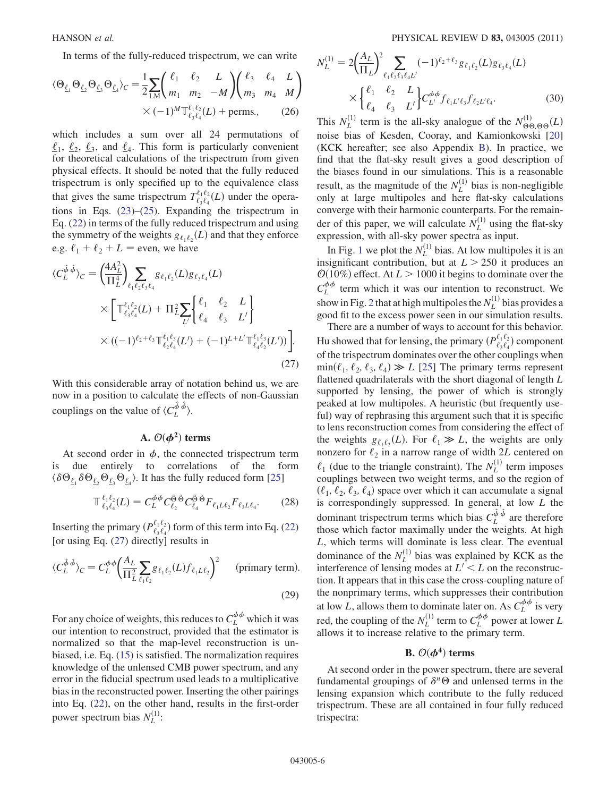In terms of the fully-reduced trispectrum, we can write

$$
\langle \Theta_{\underline{\ell}_1} \Theta_{\underline{\ell}_2} \Theta_{\underline{\ell}_3} \Theta_{\underline{\ell}_4} \rangle_C = \frac{1}{2} \sum_{LM} \begin{pmatrix} \ell_1 & \ell_2 & L \\ m_1 & m_2 & -M \end{pmatrix} \begin{pmatrix} \ell_3 & \ell_4 & L \\ m_3 & m_4 & M \end{pmatrix}
$$
  
 
$$
\times (-1)^M \mathbb{T}_{\ell_3 \ell_4}^{\ell_1 \ell_2}(L) + \text{perms.}, \qquad (26)
$$

which includes a sum over all 24 permutations of  $\ell_1$ ,  $\ell_2$ ,  $\ell_3$ , and  $\ell_4$ . This form is particularly convenient for theoretical calculations of the trispectrum from given physical effects. It should be noted that the fully reduced trispectrum is only specified up to the equivalence class that gives the same trispectrum  $T^{\ell_1 \ell_2}_{\ell_3 \ell_4}(L)$  under the opera-<br>tions in Eqs. (23) (25). Expanding the triangetrum in tions in Eqs. (23)–(25). Expanding the trispectrum in Eq. (22) in terms of the fully reduced trispectrum and using the symmetry of the weights  $g_{\ell_1 \ell_2}(L)$  and that they enforce e.g.  $\ell_1 + \ell_2 + L$  = even, we have

$$
\langle C_L^{\hat{\phi}} \hat{\phi} \rangle_C = \left( \frac{4A_L^2}{\Pi_L^4} \right) \sum_{\ell_1 \ell_2 \ell_3 \ell_4} g_{\ell_1 \ell_2}(L) g_{\ell_3 \ell_4}(L)
$$
  
 
$$
\times \left[ \mathbb{T}_{\ell_3 \ell_4}^{\ell_1 \ell_2}(L) + \mathbb{T}_L^2 \sum_{L'} \begin{bmatrix} \ell_1 & \ell_2 & L \\ \ell_4 & \ell_3 & L' \end{bmatrix} \right]
$$
  
 
$$
\times ((-1)^{\ell_2 + \ell_3} \mathbb{T}_{\ell_2 \ell_4}^{\ell_1 \ell_3}(L') + (-1)^{L + L'} \mathbb{T}_{\ell_4 \ell_2}^{\ell_1 \ell_3}(L')) \right].
$$
 (27)

With this considerable array of notation behind us, we are now in a position to calculate the effects of non-Gaussian couplings on the value of  $\langle C_L^{\hat{\phi}} \hat{\phi} \rangle$ .

### A.  $\mathcal{O}(\boldsymbol{\phi}^2)$  terms

At second order in  $\phi$ , the connected trispectrum term is due entirely to correlations of the form  $\langle \delta \Theta_{\underline{\ell}_1} \delta \Theta_{\underline{\ell}_2} \Theta_{\underline{\ell}_3} \Theta_{\underline{\ell}_4} \rangle$ . It has the fully reduced form [25]

$$
\mathbb{T}^{\ell_1 \ell_2}_{\ell_3 \ell_4}(L) = C_L^{\phi \phi} C_{\ell_2}^{\tilde{\Theta}} \tilde{\Theta}^{\tilde{\Theta}} C_{\ell_4}^{\tilde{\Theta}} F_{\ell_1 L \ell_2} F_{\ell_3 L \ell_4}.
$$
 (28)

Inserting the primary  $(P_{\ell_3\ell_4}^{\ell_1\ell_2})$  form of this term into Eq. (22) [or using Eq. (27) directly] results in

$$
\langle C_L^{\hat{\phi}\hat{\phi}} \rangle_C = C_L^{\phi\phi} \left( \frac{A_L}{\Pi_L^2} \sum_{\ell_1 \ell_2} g_{\ell_1 \ell_2}(L) f_{\ell_1 L \ell_2} \right)^2 \quad \text{(primary term)}.
$$
\n(29)

For any choice of weights, this reduces to  $C_L^{\phi\phi}$  which it was our intention to reconstruct, provided that the estimator is normalized so that the map-level reconstruction is unbiased, i.e. Eq. (15) is satisfied. The normalization requires knowledge of the unlensed CMB power spectrum, and any error in the fiducial spectrum used leads to a multiplicative bias in the reconstructed power. Inserting the other pairings into Eq. (22), on the other hand, results in the first-order power spectrum bias  $N_L^{(1)}$ :

$$
N_L^{(1)} = 2\left(\frac{A_L}{\Pi_L}\right)^2 \sum_{\ell_1 \ell_2 \ell_3 \ell_4 L'} (-1)^{\ell_2 + \ell_3} g_{\ell_1 \ell_2}(L) g_{\ell_3 \ell_4}(L)
$$
  
 
$$
\times \begin{cases} \ell_1 & \ell_2 & L \\ \ell_4 & \ell_3 & L' \end{cases} C_L^{\phi \phi} f_{\ell_1 L' \ell_3} f_{\ell_2 L' \ell_4}.
$$
 (30)

This  $N_L^{(1)}$  term is the all-sky analogue of the  $N_{\Theta\Theta,\Theta\Theta}^{(1)}(L)$ <br>poise hiss of Kesden, Cooray, and Kamionkowski [20] noise bias of Kesden, Cooray, and Kamionkowski [20] (KCK hereafter; see also Appendix B). In practice, we find that the flat-sky result gives a good description of the biases found in our simulations. This is a reasonable result, as the magnitude of the  $N_L^{(1)}$  bias is non-negligible only at large multipoles and here flat-sky calculations converge with their harmonic counterparts. For the remainder of this paper, we will calculate  $N_L^{(1)}$  using the flat-sky expression, with all-sky power spectra as input.

In Fig. 1 we plot the  $N_L^{(1)}$  bias. At low multipoles it is an insignificant contribution, but at  $L > 250$  it produces an  $\mathcal{O}(10\%)$  effect. At  $L > 1000$  it begins to dominate over the  $C_L^{\phi\phi}$  term which it was our intention to reconstruct. We show in Fig. 2 that at high multipoles the  $N_L^{(1)}$  bias provides a good fit to the excess power seen in our simulation results.

There are a number of ways to account for this behavior. Hu showed that for lensing, the primary  $(P_{\ell_1\ell_2}^{\ell_1\ell_2})$  component of the triangetrum dominates over the other countings when of the trispectrum dominates over the other couplings when  $\min(\ell_1, \ell_2, \ell_3, \ell_4) \gg L$  [25] The primary terms represent flattened quadrilaterals with the short diagonal of length *L* flattened quadrilaterals with the short diagonal of length L supported by lensing, the power of which is strongly peaked at low multipoles. A heuristic (but frequently useful) way of rephrasing this argument such that it is specific to lens reconstruction comes from considering the effect of the weights  $g_{\ell_1 \ell_2}(L)$ . For  $\ell_1 \gg L$ , the weights are only<br>nonzero for  $\ell_2$ , in a narrow range of width 2L centered on nonzero for  $\ell_2$  in a narrow range of width 2L centered on  $\ell_1$  (due to the triangle constraint). The  $N_L^{(1)}$  term imposes couplings between two weight terms, and so the region of  $(\ell_1, \ell_2, \ell_3, \ell_4)$  space over which it can accumulate a signal is correspondingly suppressed. In general, at low L the dominant trispectrum terms which bias  $C_L^{\hat{\phi} \hat{\phi}}$  are therefore those which factor maximally under the weights. At high L, which terms will dominate is less clear. The eventual dominance of the  $N_L^{(1)}$  bias was explained by KCK as the interference of lensing modes at  $L' \leq L$  on the reconstruction. It appears that in this case the cross-coupling nature of the nonprimary terms, which suppresses their contribution at low L, allows them to dominate later on. As  $C_L^{\phi\phi}$  is very red, the coupling of the  $N_L^{(1)}$  term to  $C_L^{\phi\phi}$  power at lower L allows it to increase relative to the primary term.

### B.  $\mathcal{O}(\boldsymbol{\phi}^4)$  terms

At second order in the power spectrum, there are several fundamental groupings of  $\delta^n \Theta$  and unlensed terms in the lensing expansion which contribute to the fully reduced trispectrum. These are all contained in four fully reduced trispectra: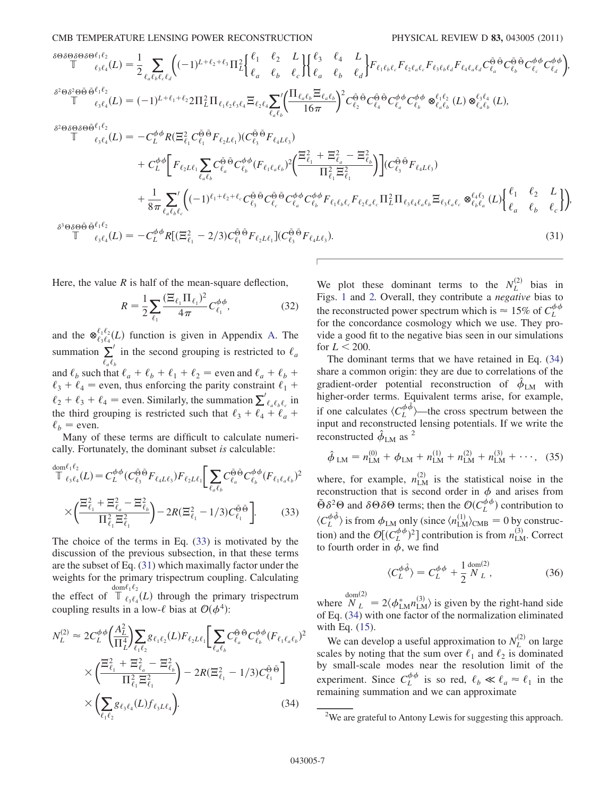CMB TEMPERATURE LENSING POWER RECONSTRUCTION PHYSICAL REVIEW D 83, 043005 (2011)

$$
\begin{split}\n&\delta^{\Theta\delta\Theta\delta\Theta\delta\Theta^{\ell_{1}\ell_{2}}}_{\mathbb{T}}(L) = \frac{1}{2} \sum_{\ell_{a}\ell_{b}\ell_{c}\ell_{d}} \Big( (-1)^{L+\ell_{2}+\ell_{3}} \Pi_{\ell}^{2} \Big\{ \frac{\ell_{1}}{\ell_{a}} - \frac{\ell_{2}}{\ell_{b}} - \frac{L}{\ell_{c}} \Big\} \Big\{ \frac{\ell_{3}}{\ell_{a}} - \frac{\ell_{4}}{\ell_{b}} - \frac{L}{\ell_{d}} \Big\} F_{\ell_{1}\ell_{b}\ell_{c}} F_{\ell_{2}\ell_{a}\ell_{c}} F_{\ell_{3}\ell_{b}\ell_{d}} F_{\ell_{4}\ell_{a}\ell_{d}} C_{\ell_{a}}^{\tilde{\Theta}} \tilde{\Theta} C_{\ell_{b}}^{\tilde{\Theta}} \tilde{C}_{\ell_{a}}^{\tilde{\Theta}} \tilde{C}_{\ell_{a}}^{\tilde{\Theta}} \tilde{C}_{\ell_{a}}^{\tilde{\Theta}} \tilde{C}_{\ell_{a}}^{\tilde{\Theta}} \tilde{C}_{\ell_{a}}^{\tilde{\Theta}} \tilde{C}_{\ell_{a}}^{\tilde{\Theta}} \tilde{C}_{\ell_{a}}^{\tilde{\Theta}} \tilde{C}_{\ell_{a}}^{\tilde{\Theta}} \tilde{C}_{\ell_{a}}^{\tilde{\Theta}} \tilde{C}_{\ell_{a}}^{\tilde{\Theta}} \tilde{C}_{\ell_{a}}^{\tilde{\Theta}} \tilde{C}_{\ell_{a}}^{\tilde{\Theta}} \tilde{C}_{\ell_{a}}^{\tilde{\Theta}} \tilde{C}_{\ell_{a}}^{\tilde{\Theta}} \tilde{C}_{\ell_{a}}^{\tilde{\Theta}} \tilde{C}_{\ell_{a}}^{\tilde{\Theta}} \tilde{C}_{\ell_{a}}^{\tilde{\Theta}} \tilde{C}_{\ell_{a}}^{\tilde{\Theta}} \tilde{C}_{\ell_{a}}^{\tilde{\Theta}} \tilde{C}_{\ell_{a}}^{\tilde{\Theta}} \tilde{C}_{\ell_{a}}^{\tilde{\Theta}} \tilde{C}_{\ell_{a}}^{\tilde{\Theta}} \tilde{C}_{\ell_{a}}^{\tilde{\Theta}} \tilde{C}_{\ell_{a}}^{\tilde{\Theta}} \tilde{C}_{\ell_{a}}^{\tilde{\Theta}} \tilde{C}_{\ell_{a}}^{\tilde{\Theta}} \tilde{C}_{\ell_{a}}^
$$

Here, the value  $R$  is half of the mean-square deflection,

$$
R = \frac{1}{2} \sum_{\ell_1} \frac{(\Xi_{\ell_1} \Pi_{\ell_1})^2}{4\pi} C_{\ell_1}^{\phi \phi},\tag{32}
$$

and the  $\mathfrak{G}_{\ell_3 \ell_4}^{\ell_1 \ell_2}(L)$  function is given in Appendix A. The summation  $\Sigma'$  in the second grouping is restricted to  $\ell_a$  $\ell_a \ell_b$ in the second grouping is restricted to  $\ell_a$ and  $\ell_b$  such that  $\ell_a + \ell_b + \ell_1 + \ell_2 =$  even and  $\ell_a + \ell_b + \ell_{\ell} =$  even thus enforcing the parity constraint  $\ell_1$ .  $\ell_3 + \ell_4$  = even, thus enforcing the parity constraint  $\ell_1 + \ell_2 + \ell_3 + \ell_4 = \text{even}$ . Similarly, the numerical  $\sum'$  $\ell_2 + \ell_3 + \ell_4 =$  even. Similarly, the summation  $\sum_{\ell_a \ell_b \ell_c}^{\ell_a \ell_b \ell_c}$  in the third grouping is restricted such that  $\ell_a + \ell_b + \ell_c + \ell_c$ the third grouping is restricted such that  $\ell_3 + \ell_4 + \ell_a +$  $\ell_b$  = even.

Many of these terms are difficult to calculate numerically. Fortunately, the dominant subset is calculable:

$$
\mathbb{E}_{\ell_3 \ell_4}(L) = C_L^{\phi \phi} (C_{\ell_3}^{\tilde{\Theta} \tilde{\Theta}} F_{\ell_4 L \ell_3}) F_{\ell_2 L \ell_1} \Bigg[ \sum_{\ell_a \ell_b} C_{\ell_a}^{\tilde{\Theta} \tilde{\Theta}} C_{\ell_b}^{\phi \phi} (F_{\ell_1 \ell_a \ell_b})^2 \times \left( \frac{\Xi_{\ell_1}^2 + \Xi_{\ell_a}^2 - \Xi_{\ell_b}^2}{\Pi_{\ell_1}^2 \Xi_{\ell_1}^2} \right) - 2R (\Xi_{\ell_1}^2 - 1/3) C_{\ell_1}^{\tilde{\Theta} \tilde{\Theta}} \Bigg].
$$
 (33)

The choice of the terms in Eq. (33) is motivated by the discussion of the previous subsection, in that these terms are the subset of Eq. (31) which maximally factor under the weights for the primary trispectrum coupling. Calculating the effect of  $\mathbb T$  $\overline{\text{dom}\ell_1\ell_2}$  $\ell_3 \ell_4(L)$  through the primary trispectrum<br>n a low- $\ell$  bias at  $O((\Delta^4))$ coupling results in a low- $\ell$  bias at  $\mathcal{O}(\phi^4)$ :

$$
N_L^{(2)} \approx 2C_L^{\phi\phi} \left(\frac{A_L^2}{\Pi_L^4}\right) \sum_{\ell_1 \ell_2} g_{\ell_1 \ell_2}(L) F_{\ell_2 L \ell_1} \left[ \sum_{\ell_a \ell_b} C_{\ell_a}^{\tilde{\Theta}} C_{\ell_b}^{\phi\phi} (F_{\ell_1 \ell_a \ell_b})^2 \right] \times \left( \frac{\Xi_{\ell_1}^2 + \Xi_{\ell_a}^2 - \Xi_{\ell_b}^2}{\Pi_{\ell_1}^2 \Xi_{\ell_1}^2} \right) - 2R(\Xi_{\ell_1}^2 - 1/3) C_{\ell_1}^{\tilde{\Theta}} \tilde{\Theta} \right] \times \left( \sum_{\ell_1 \ell_2} g_{\ell_3 \ell_4}(L) f_{\ell_3 L \ell_4} \right). \tag{34}
$$

We plot these dominant terms to the  $N_L^{(2)}$  bias in Figs. 1 and 2. Overall, they contribute a negative bias to the reconstructed power spectrum which is  $\approx 15\%$  of  $C_L^{\phi\phi}$ <br>for the concordance cosmology which we use. They profor the concordance cosmology which we use. They provide a good fit to the negative bias seen in our simulations for  $L < 200$ .

The dominant terms that we have retained in Eq. (34) share a common origin: they are due to correlations of the gradient-order potential reconstruction of  $\hat{\phi}_{LM}$  with higher-order terms. Equivalent terms arise, for example, if one calculates  $\langle C_L^{\phi} \rangle$ —the cross spectrum between the<br>input and reconstructed lensing potentials. If we write the input and reconstructed lensing potentials. If we write the reconstructed  $\hat{\phi}_{LM}$  as <sup>2</sup>

$$
\hat{\phi}_{LM} = n_{LM}^{(0)} + \phi_{LM} + n_{LM}^{(1)} + n_{LM}^{(2)} + n_{LM}^{(3)} + \cdots, \quad (35)
$$

where, for example,  $n_{LM}^{(2)}$  is the statistical noise in the reconstruction that is second order in  $\phi$  and arises from  $\tilde{\Theta} \delta^2 \Theta$  and  $\delta \Theta \delta \Theta$  terms; then the  $\mathcal{O}(C_L^{\phi \phi})$  contribution to  $\langle C_L^{\phi\hat{\phi}} \rangle$  is from  $\phi_{LM}$  only (since  $\langle n_{LM}^{(1)} \rangle_{CMB} = 0$  by construction) and the  $\mathcal{O}[(C_L^{\phi\phi})^2]$  contribution is from  $n_{LM}^{(3)}$ . Correct to fourth order in  $\phi$ , we find to fourth order in  $\phi$ , we find

$$
\langle C_L^{\phi\hat{\phi}} \rangle = C_L^{\phi\phi} + \frac{1}{2} \frac{\text{dom}(2)}{N_L},\tag{36}
$$

where  $N_L = 2\langle \phi_{LM}^* n_{LM}^{(3)} \rangle$  is given by the right-hand side<br>of Eq. (34) with one factor of the normalization eliminated of Eq. (34) with one factor of the normalization eliminated with Eq. (15).

We can develop a useful approximation to  $N_L^{(2)}$  on large scales by noting that the sum over  $\ell_1$  and  $\ell_2$  is dominated by small-scale modes near the resolution limit of the experiment. Since  $C_L^{\phi\phi}$  is so red,  $\ell_b \ll \ell_a \approx \ell_1$  in the remaining summation and we can approximate remaining summation and we can approximate

<sup>&</sup>lt;sup>2</sup>We are grateful to Antony Lewis for suggesting this approach.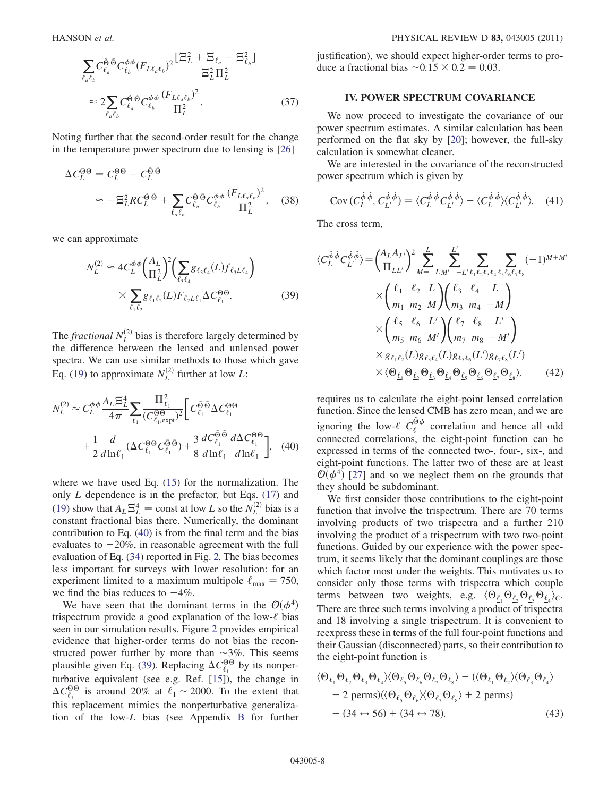$$
\sum_{\ell_a \ell_b} C^{\tilde{\Theta}}_{\ell_a} \tilde{C}^{\phi \phi}_{\ell_b} (F_{L\ell_a \ell_b})^2 \frac{[\Xi_L^2 + \Xi_{\ell_a} - \Xi_{\ell_b}^2]}{\Xi_L^2 \Pi_L^2}
$$
  

$$
\approx 2 \sum_{\ell_a \ell_b} C^{\tilde{\Theta}}_{\ell_a} \tilde{C}^{\phi \phi}_{\ell_b} \frac{(F_{L\ell_a \ell_b})^2}{\Pi_L^2}.
$$
 (37)

Noting further that the second-order result for the change in the temperature power spectrum due to lensing is [26]

$$
\Delta C_L^{\Theta \Theta} = C_L^{\Theta \Theta} - C_L^{\tilde{\Theta} \tilde{\Theta}}
$$
  

$$
\approx -\Xi_L^2 R C_L^{\tilde{\Theta} \tilde{\Theta}} + \sum_{\ell_a \ell_b} C_{\ell_a}^{\tilde{\Theta} \tilde{\Theta}} C_{\ell_b}^{\phi \phi} \frac{(F_{L\ell_a \ell_b})^2}{\Pi_L^2}, \quad (38)
$$

we can approximate

$$
N_L^{(2)} \approx 4C_L^{\phi\phi} \left(\frac{A_L}{\Pi_L^2}\right)^2 \left(\sum_{\ell_3,\ell_4} g_{\ell_3\ell_4}(L) f_{\ell_3 L \ell_4}\right) \times \sum_{\ell_1 \ell_2} g_{\ell_1 \ell_2}(L) F_{\ell_2 L \ell_1} \Delta C_{\ell_1}^{\Theta \Theta}.
$$
 (39)

The *fractional*  $N_L^{(2)}$  bias is therefore largely determined by the difference between the lensed and unlensed power spectra. We can use similar methods to those which gave Eq. (19) to approximate  $N_L^{(2)}$  further at low L:

$$
N_L^{(2)} \approx C_L^{\phi\phi} \frac{A_L \Xi_L^4}{4\pi} \sum_{\ell_1} \frac{\Pi_{\ell_1}^2}{(C_{\ell_1, \text{expt}}^{\Theta \Theta})^2} \left[ C_{\ell_1}^{\tilde{\Theta}} \Delta C_{\ell_1}^{\Theta \Theta} \right. \\
\left. + \frac{1}{2} \frac{d}{d \ln \ell_1} (\Delta C_{\ell_1}^{\Theta \Theta} C_{\ell_1}^{\tilde{\Theta} \tilde{\Theta}}) + \frac{3}{8} \frac{d C_{\ell_1}^{\tilde{\Theta} \tilde{\Theta}}}{d \ln \ell_1} \frac{d \Delta C_{\ell_1}^{\Theta \Theta}}{d \ln \ell_1} \right], \quad (40)
$$

where we have used Eq. (15) for the normalization. The only  $L$  dependence is in the prefactor, but Eqs. (17) and (19) show that  $A_L \Xi_L^4$  = const at low L so the  $N_L^{(2)}$  bias is a constant fractional bias there. Numerically, the dominant constant fractional bias there. Numerically, the dominant contribution to Eq. (40) is from the final term and the bias evaluates to  $-20\%$ , in reasonable agreement with the full<br>evaluation of Eq. (34) reported in Fig. 2. The bias becomes evaluation of Eq. (34) reported in Fig. 2. The bias becomes less important for surveys with lower resolution: for an experiment limited to a maximum multipole  $\ell_{\text{max}} = 750$ , we find the bias reduces to  $-4\%$ .<br>We have seen that the domin

We have seen that the dominant terms in the  $\mathcal{O}(\phi^4)$ trispectrum provide a good explanation of the low- $\ell$  bias seen in our simulation results. Figure 2 provides empirical evidence that higher-order terms do not bias the reconstructed power further by more than  $\sim$ 3%. This seems plausible given Eq. (39). Replacing  $\Delta C_{\ell_1}^{\Theta\Theta}$  by its nonperturbative equivalent (see e.g. Ref. [15]), the change in  $\Delta C_{\ell_1}^{\Theta\Theta}$  is around 20% at  $\ell_1 \sim 2000$ . To the extent that this replacement mimics the nonperturbative generalization of the low-L bias (see Appendix B for further justification), we should expect higher-order terms to produce a fractional bias  $\sim 0.15 \times 0.2 = 0.03$ .

#### IV. POWER SPECTRUM COVARIANCE

We now proceed to investigate the covariance of our power spectrum estimates. A similar calculation has been performed on the flat sky by [20]; however, the full-sky calculation is somewhat cleaner.

We are interested in the covariance of the reconstructed power spectrum which is given by

$$
Cov(C_L^{\hat{\phi}\hat{\phi}}, C_{L'}^{\hat{\phi}\hat{\phi}}) = \langle C_L^{\hat{\phi}\hat{\phi}} C_{L'}^{\hat{\phi}\hat{\phi}} \rangle - \langle C_L^{\hat{\phi}\hat{\phi}} \rangle \langle C_{L'}^{\hat{\phi}\hat{\phi}} \rangle. \quad (41)
$$

The cross term,

$$
\langle C_L^{\hat{\phi}\hat{\phi}} C_{L'}^{\hat{\phi}\hat{\phi}} \rangle = \left( \frac{A_L A_{L'}}{\Pi_{LL'}} \right)^2 \sum_{M=-L}^{L} \sum_{M'=-L'}^{L'} \sum_{\ell_1 \ell_2 \ell_3 \ell_4} \sum_{\ell_5 \ell_6 \ell_7 \ell_8} (-1)^{M+M'} \times \left( \begin{array}{ccc} \ell_1 & \ell_2 & L \\ m_1 & m_2 & M \end{array} \right) \left( \begin{array}{ccc} \ell_3 & \ell_4 & L \\ m_3 & m_4 & -M \end{array} \right) \times \left( \begin{array}{ccc} \ell_5 & \ell_6 & L' \\ m_5 & m_6 & M' \end{array} \right) \left( \begin{array}{ccc} \ell_7 & \ell_8 & L' \\ m_7 & m_8 & -M' \end{array} \right) \times g_{\ell_1 \ell_2}(L) g_{\ell_3 \ell_4}(L) g_{\ell_5 \ell_6}(L') g_{\ell_7 \ell_8}(L') \times \langle \Theta_{\underline{\ell}_1} \Theta_{\underline{\ell}_2} \Theta_{\underline{\ell}_3} \Theta_{\underline{\ell}_4} \Theta_{\underline{\ell}_5} \Theta_{\underline{\ell}_6} \Theta_{\underline{\ell}_7} \Theta_{\underline{\ell}_8} \rangle, \qquad (42)
$$

requires us to calculate the eight-point lensed correlation function. Since the lensed CMB has zero mean, and we are ignoring the low- $\ell C_{\ell}^{\tilde{\Theta} \phi}$  correlation and hence all odd connected correlations, the eight-point function can be expressed in terms of the connected two-, four-, six-, and eight-point functions. The latter two of these are at least  $\mathcal{O}(\phi^4)$  [27] and so we neglect them on the grounds that they should be subdominant.

We first consider those contributions to the eight-point function that involve the trispectrum. There are 70 terms involving products of two trispectra and a further 210 involving the product of a trispectrum with two two-point functions. Guided by our experience with the power spectrum, it seems likely that the dominant couplings are those which factor most under the weights. This motivates us to consider only those terms with trispectra which couple terms between two weights, e.g.  $\langle \Theta_{\underline{\ell}_1} \Theta_{\underline{\ell}_2} \Theta_{\underline{\ell}_3} \Theta_{\underline{\ell}_4} \rangle_C$ .<br>There are three such terms involving a product of triangetra There are three such terms involving a product of trispectra and 18 involving a single trispectrum. It is convenient to reexpress these in terms of the full four-point functions and their Gaussian (disconnected) parts, so their contribution to the eight-point function is

$$
\langle \Theta_{\underline{\ell}_1} \Theta_{\underline{\ell}_2} \Theta_{\underline{\ell}_3} \Theta_{\underline{\ell}_4} \rangle \langle \Theta_{\underline{\ell}_5} \Theta_{\underline{\ell}_6} \Theta_{\underline{\ell}_7} \Theta_{\underline{\ell}_8} \rangle - (\langle \Theta_{\underline{\ell}_1} \Theta_{\underline{\ell}_2} \rangle \langle \Theta_{\underline{\ell}_3} \Theta_{\underline{\ell}_4} \rangle + 2 \text{ perms}) (\langle \Theta_{\underline{\ell}_5} \Theta_{\underline{\ell}_6} \rangle \langle \Theta_{\underline{\ell}_7} \Theta_{\underline{\ell}_8} \rangle + 2 \text{ perms}) + (34 \leftrightarrow 56) + (34 \leftrightarrow 78).
$$
 (43)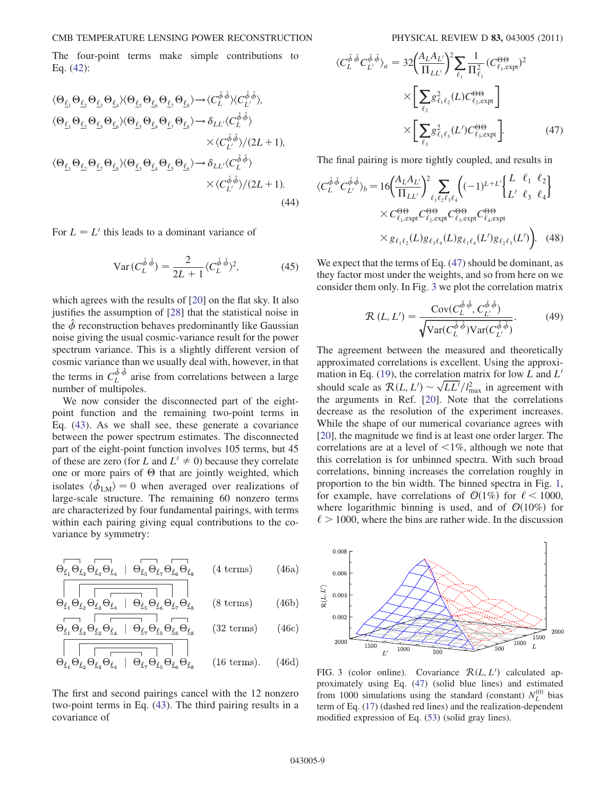The four-point terms make simple contributions to Eq. (42):

$$
\langle \Theta_{\underline{\ell}_1} \Theta_{\underline{\ell}_2} \Theta_{\underline{\ell}_3} \Theta_{\underline{\ell}_4} \rangle \langle \Theta_{\underline{\ell}_5} \Theta_{\underline{\ell}_6} \Theta_{\underline{\ell}_7} \Theta_{\underline{\ell}_8} \rangle \rightarrow \langle C_L^{\hat{\phi}, \hat{\phi}} \rangle \langle C_L^{\hat{\phi}, \hat{\phi}} \rangle, \n\langle \Theta_{\underline{\ell}_1} \Theta_{\underline{\ell}_2} \Theta_{\underline{\ell}_5} \Theta_{\underline{\ell}_6} \rangle \langle \Theta_{\underline{\ell}_3} \Theta_{\underline{\ell}_4} \Theta_{\underline{\ell}_7} \Theta_{\underline{\ell}_8} \rangle \rightarrow \delta_{LL'} \langle C_L^{\hat{\phi}, \hat{\phi}} \rangle \n\times \langle C_L^{\hat{\phi}, \hat{\phi}} \rangle / (2L + 1), \n\langle \Theta_{\underline{\ell}_1} \Theta_{\underline{\ell}_2} \Theta_{\underline{\ell}_2} \Theta_{\underline{\ell}_3} \rangle \langle \Theta_{\underline{\ell}_3} \Theta_{\underline{\ell}_4} \Theta_{\underline{\ell}_5} \Theta_{\underline{\ell}_6} \rangle \rightarrow \delta_{LL'} \langle C_L^{\hat{\phi}, \hat{\phi}} \rangle \n\times \langle C_L^{\hat{\phi}, \hat{\phi}} \rangle / (2L + 1).
$$
\n(44)

For  $L = L'$  this leads to a dominant variance of

$$
\operatorname{Var}\left(C_L^{\hat{\phi}\hat{\phi}}\right) = \frac{2}{2L+1} \langle C_L^{\hat{\phi}\hat{\phi}} \rangle^2, \tag{45}
$$

which agrees with the results of [20] on the flat sky. It also justifies the assumption of [28] that the statistical noise in the  $\hat{\phi}$  reconstruction behaves predominantly like Gaussian noise giving the usual cosmic-variance result for the power spectrum variance. This is a slightly different version of cosmic variance than we usually deal with, however, in that the terms in  $C_L^{\hat{\phi}\hat{\phi}}$  arise from correlations between a large number of multipoles.

We now consider the disconnected part of the eightpoint function and the remaining two-point terms in Eq. (43). As we shall see, these generate a covariance between the power spectrum estimates. The disconnected part of the eight-point function involves 105 terms, but 45 of these are zero (for L and  $L' \neq 0$ ) because they correlate one or more pairs of  $\Theta$  that are jointly weighted, which isolates  $\langle \hat{\phi}_{LM} \rangle = 0$  when averaged over realizations of<br>large-scale structure. The remaining 60 nonzero terms large-scale structure. The remaining 60 nonzero terms are characterized by four fundamental pairings, with terms within each pairing giving equal contributions to the covariance by symmetry:

$$
\Theta_{\underline{\ell_1}} \Theta_{\underline{\ell_3}} \Theta_{\underline{\ell_2}} \Theta_{\underline{\ell_4}} \quad | \quad \Theta_{\underline{\ell_5}} \Theta_{\underline{\ell_7}} \Theta_{\underline{\ell_6}} \Theta_{\underline{\ell_8}} \qquad (4 \text{ terms}) \tag{46a}
$$

$$
\begin{array}{|c|c|c|c|c|}\n\hline\n & & & \\
\hline\n\Theta_{\ell_1} \Theta_{\ell_2} \Theta_{\ell_3} \Theta_{\ell_4} & \Theta_{\ell_5} \Theta_{\ell_6} \Theta_{\ell_7} \Theta_{\ell_8} & (8 \text{ terms})\n\end{array} \tag{46b}
$$

$$
\Theta_{\underline{\ell_1}} \Theta_{\underline{\ell_3}} \Theta_{\underline{\ell_2}} \Theta_{\underline{\ell_4}} \mid \Theta_{\underline{\ell_7}} \Theta_{\underline{\ell_5}} \Theta_{\underline{\ell_6}} \Theta_{\underline{\ell_8}} \tag{32 terms} \tag{46c}
$$

$$
\Theta_{\ell_1} \Theta_{\ell_2} \Theta_{\ell_3} \Theta_{\ell_4} \mid \Theta_{\ell_7} \Theta_{\ell_5} \Theta_{\ell_6} \Theta_{\ell_8} \qquad (16 \text{ terms}). \qquad (46d)
$$

The first and second pairings cancel with the 12 nonzero two-point terms in Eq. (43). The third pairing results in a covariance of

$$
\langle C_L^{\hat{\phi}} \hat{\phi} C_{L'}^{\hat{\phi} \hat{\phi}} \rangle_a = 32 \left( \frac{A_L A_{L'}}{\Pi_{LL'}} \right)^2 \sum_{\ell_1} \frac{1}{\Pi_{\ell_1}^2} (C_{\ell_1, \text{expt}}^{\Theta \Theta})^2
$$

$$
\times \left[ \sum_{\ell_2} g_{\ell_1 \ell_2}^2(L) C_{\ell_2, \text{expt}}^{\Theta \Theta} \right]
$$

$$
\times \left[ \sum_{\ell_3} g_{\ell_1 \ell_3}^2(L') C_{\ell_3, \text{expt}}^{\Theta \Theta} \right].
$$
 (47)

The final pairing is more tightly coupled, and results in

$$
\langle C_L^{\hat{\phi}\hat{\phi}} C_{L'}^{\hat{\phi}\hat{\phi}} \rangle_b = 16 \left( \frac{A_L A_{L'}}{\Pi_{LL'}} \right)^2 \sum_{\ell_1 \ell_2 \ell_3 \ell_4} \left( (-1)^{L+L'} \left\{ \frac{L}{L'} \frac{\ell_1}{\ell_3} \frac{\ell_2}{\ell_4} \right\} \times C_{\ell_1, \text{expt}}^{\Theta\Theta} C_{\ell_2, \text{expt}}^{\Theta\Theta} C_{\ell_3, \text{expt}}^{\Theta\Theta} C_{\ell_4, \text{expt}}^{\Theta\Theta} \times g_{\ell_1 \ell_2}(L) g_{\ell_3 \ell_4}(L) g_{\ell_1 \ell_4}(L') g_{\ell_2 \ell_3}(L') \right). \tag{48}
$$

We expect that the terms of Eq.  $(47)$  should be dominant, as they factor most under the weights, and so from here on we consider them only. In Fig. 3 we plot the correlation matrix

$$
\mathcal{R}\left(L,L'\right) = \frac{\text{Cov}(C_L^{\hat{\phi},\hat{\phi}}, C_{L'}^{\hat{\phi},\hat{\phi}})}{\sqrt{\text{Var}(C_L^{\hat{\phi},\hat{\phi}})\text{Var}(C_{L'}^{\hat{\phi},\hat{\phi}})}}.\tag{49}
$$

The agreement between the measured and theoretically approximated correlations is excellent. Using the approximation in Eq. (19), the correlation matrix for low L and  $L'$ mation in Eq. (19), the correlation matrix for low L and L'<br>should scale as  $\mathcal{R}(L, L') \sim \sqrt{LL'}/l_{\text{max}}^2$  in agreement with<br>the arguments in Ref. [20]. Note that the correlations the arguments in Ref. [20]. Note that the correlations decrease as the resolution of the experiment increases. While the shape of our numerical covariance agrees with [20], the magnitude we find is at least one order larger. The correlations are at a level of  $\leq 1\%$ , although we note that this correlation is for unbinned spectra. With such broad correlations, binning increases the correlation roughly in proportion to the bin width. The binned spectra in Fig. 1, for example, have correlations of  $\mathcal{O}(1\%)$  for  $\ell < 1000$ , where logarithmic binning is used, and of  $\mathcal{O}(10\%)$  for  $\ell > 1000$ , where the bins are rather wide. In the discussion



FIG. 3 (color online). Covariance  $\mathcal{R}(L, L')$  calculated approximately using Eq. (47) (solid blue lines) and estimated proximately using Eq. (47) (solid blue lines) and estimated from 1000 simulations using the standard (constant)  $N_L^{(0)}$  bias term of Eq. (17) (dashed red lines) and the realization-dependent modified expression of Eq. (53) (solid gray lines).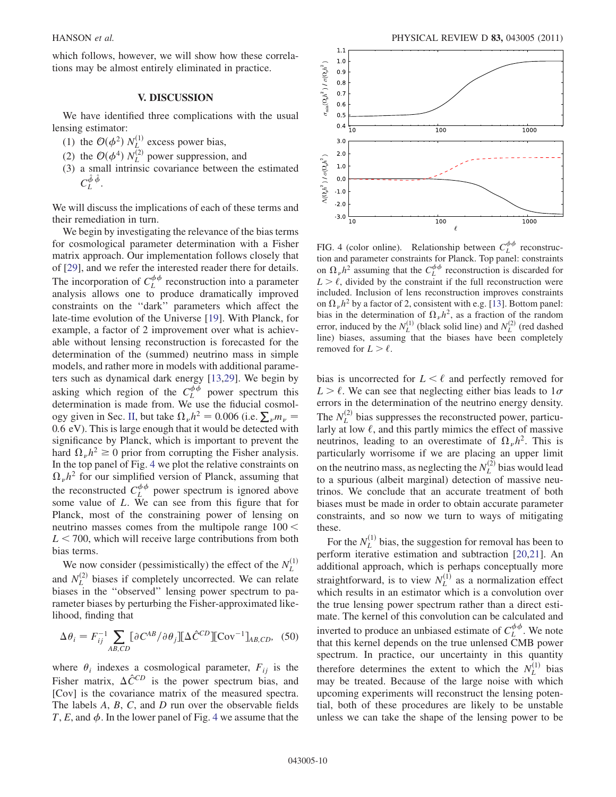which follows, however, we will show how these correlations may be almost entirely eliminated in practice.

### V. DISCUSSION

We have identified three complications with the usual lensing estimator:

- (1) the  $\mathcal{O}(\phi^2)$   $N_L^{(1)}$  excess power bias,<br>(2) the  $\mathcal{O}(44)$   $N_L^{(2)}$  power symmetries
- (2) the  $\mathcal{O}(\phi^4) N_L^{(2)}$  power suppression, and<br>(3) a small intrinsic covariance between the
- (3) a small intrinsic covariance between the estimated  $C_L^{\hat{\phi}\,\hat{\phi}}$ .

We will discuss the implications of each of these terms and their remediation in turn.

We begin by investigating the relevance of the bias terms for cosmological parameter determination with a Fisher matrix approach. Our implementation follows closely that of [29], and we refer the interested reader there for details. The incorporation of  $C_L^{\phi\phi}$  reconstruction into a parameter analysis allows one to produce dramatically improved constraints on the ''dark'' parameters which affect the late-time evolution of the Universe [19]. With Planck, for example, a factor of 2 improvement over what is achievable without lensing reconstruction is forecasted for the determination of the (summed) neutrino mass in simple models, and rather more in models with additional parameters such as dynamical dark energy [13,29]. We begin by asking which region of the  $C_L^{\phi\phi}$  power spectrum this determination is made from. We use the fiducial cosmoldetermination is made from. We use the fiducial cosmol-<br>ogy given in Sec. II, but take  $\Omega_{\nu} h^2 = 0.006$  (i.e.  $\sum_{\nu} m_{\nu} = 0.6 \text{ eV}$ ). This is large enough that it would be detected with 0:6 eV). This is large enough that it would be detected with significance by Planck, which is important to prevent the hard  $\Omega_{\nu}h^2 \ge 0$  prior from corrupting the Fisher analysis.<br>In the top panel of Fig. 4 we plot the relative constraints on In the top panel of Fig. 4 we plot the relative constraints on  $\Omega_{\nu}h^2$  for our simplified version of Planck, assuming that the reconstructed  $C_L^{\phi\phi}$  power spectrum is ignored above some value of L. We can see from this figure that for Planck, most of the constraining power of lensing on neutrino masses comes from the multipole range  $100 <$  $L < 700$ , which will receive large contributions from both bias terms.

We now consider (pessimistically) the effect of the  $N_L^{(1)}$  and  $N_L^{(2)}$  biases if completely uncorrected. We can relate biases in the ''observed'' lensing power spectrum to parameter biases by perturbing the Fisher-approximated likelihood, finding that

$$
\Delta \theta_i = F_{ij}^{-1} \sum_{AB,CD} [\partial C^{AB} / \partial \theta_j] [\Delta \hat{C}^{CD}][Cov^{-1}]_{AB,CD},
$$
 (50)

where  $\theta_i$  indexes a cosmological parameter,  $F_{ij}$  is the Fisher matrix,  $\Delta \hat{C}^{CD}$  is the power spectrum bias, and [Cov] is the covariance matrix of the measured spectra. The labels A, B, C, and D run over the observable fields T, E, and  $\phi$ . In the lower panel of Fig. 4 we assume that the



FIG. 4 (color online). Relationship between  $C_L^{\phi\phi}$  reconstruction and parameter constraints for Planck. Top panel: constraints on  $\Omega_{\nu}h^2$  assuming that the  $C_L^{\phi\phi}$  reconstruction is discarded for  $L > \ell$ , divided by the constraint if the full reconstruction were included. Inclusion of lens reconstruction improves constraints on  $\Omega_{\nu}h^2$  by a factor of 2, consistent with e.g. [13]. Bottom panel: bias in the determination of  $\Omega_{\nu}h^2$ , as a fraction of the random error, induced by the  $N_L^{(1)}$  (black solid line) and  $N_L^{(2)}$  (red dashed line) biases, assuming that the biases have been completely removed for  $L > \ell$ .

bias is uncorrected for  $L < \ell$  and perfectly removed for  $L > \ell$ . We can see that neglecting either bias leads to  $1\sigma$ errors in the determination of the neutrino energy density. The  $N_L^{(2)}$  bias suppresses the reconstructed power, particularly at low  $\ell$ , and this partly mimics the effect of massive neutrinos, leading to an overestimate of  $\Omega_{\nu}h^2$ . This is particularly worrisome if we are placing an upper limit on the neutrino mass, as neglecting the  $N_L^{(2)}$  bias would lead to a spurious (albeit marginal) detection of massive neutrinos. We conclude that an accurate treatment of both biases must be made in order to obtain accurate parameter constraints, and so now we turn to ways of mitigating these.

For the  $N_L^{(1)}$  bias, the suggestion for removal has been to perform iterative estimation and subtraction [20,21]. An additional approach, which is perhaps conceptually more straightforward, is to view  $N_L^{(1)}$  as a normalization effect which results in an estimator which is a convolution over the true lensing power spectrum rather than a direct estimate. The kernel of this convolution can be calculated and inverted to produce an unbiased estimate of  $C_L^{\phi\phi}$ . We note that this kernel depends on the true unlensed CMB power spectrum. In practice, our uncertainty in this quantity therefore determines the extent to which the  $N_L^{(1)}$  bias may be treated. Because of the large noise with which upcoming experiments will reconstruct the lensing potential, both of these procedures are likely to be unstable unless we can take the shape of the lensing power to be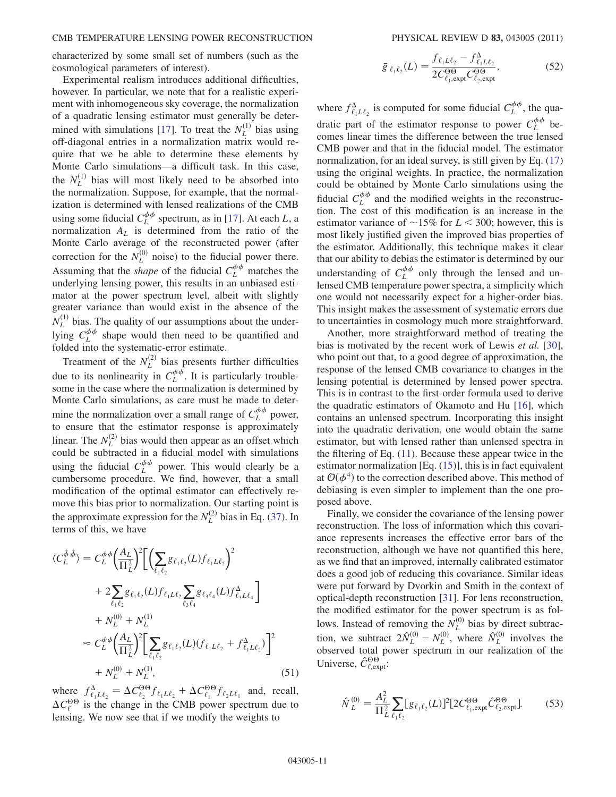characterized by some small set of numbers (such as the cosmological parameters of interest).

Experimental realism introduces additional difficulties, however. In particular, we note that for a realistic experiment with inhomogeneous sky coverage, the normalization of a quadratic lensing estimator must generally be determined with simulations [17]. To treat the  $N_L^{(1)}$  bias using off-diagonal entries in a normalization matrix would require that we be able to determine these elements by Monte Carlo simulations—a difficult task. In this case, the  $N_L^{(1)}$  bias will most likely need to be absorbed into the normalization. Suppose, for example, that the normalization is determined with lensed realizations of the CMB using some fiducial  $C_L^{\phi\phi}$  spectrum, as in [17]. At each L, a normalization  $A_L$  is determined from the ratio of the Monte Carlo average of the reconstructed power (after correction for the  $N_L^{(0)}$  noise) to the fiducial power there. Assuming that the *shape* of the fiducial  $C_L^{\phi\phi}$  matches the underlying lensing power, this results in an unbiased estimator at the power spectrum level, albeit with slightly greater variance than would exist in the absence of the  $N_L^{(1)}$  bias. The quality of our assumptions about the underlying  $C_L^{\phi\phi}$  shape would then need to be quantified and folded into the systematic-error estimate.

Treatment of the  $N_L^{(2)}$  bias presents further difficulties due to its nonlinearity in  $C_L^{\phi\phi}$ . It is particularly troublesome in the case where the normalization is determined by Monte Carlo simulations, as care must be made to determine the normalization over a small range of  $C_L^{\phi\phi}$  power, to ensure that the estimator response is approximately linear. The  $N_L^{(2)}$  bias would then appear as an offset which could be subtracted in a fiducial model with simulations using the fiducial  $C_L^{\phi\phi}$  power. This would clearly be a cumbersome procedure. We find, however, that a small modification of the optimal estimator can effectively remove this bias prior to normalization. Our starting point is the approximate expression for the  $N_L^{(2)}$  bias in Eq. (37). In terms of this, we have

$$
\langle C_L^{\hat{\phi}} \hat{\phi} \rangle = C_L^{\phi \phi} \left( \frac{A_L}{\Pi_L^2} \right)^2 \left[ \left( \sum_{\ell_1 \ell_2} g_{\ell_1 \ell_2}(L) f_{\ell_1 L \ell_2} \right)^2 + 2 \sum_{\ell_1 \ell_2} g_{\ell_1 \ell_2}(L) f_{\ell_1 L \ell_2} \sum_{\ell_3 \ell_4} g_{\ell_3 \ell_4}(L) f_{\ell_3 L \ell_4}^{\Delta} \right] + N_L^{(0)} + N_L^{(1)} \\
\approx C_L^{\phi \phi} \left( \frac{A_L}{\Pi_L^2} \right)^2 \left[ \sum_{\ell_1 \ell_2} g_{\ell_1 \ell_2}(L) (f_{\ell_1 L \ell_2} + f_{\ell_1 L \ell_2}^{\Delta}) \right]^2 + N_L^{(0)} + N_L^{(1)},
$$
\n(51)

where  $f_{\ell_1 L \ell_2}^{\Delta} = \Delta C_{\ell_2}^{\Theta} f_{\ell_1 L \ell_2} + \Delta C_{\ell_1}^{\Theta} f_{\ell_2 L \ell_1}$  and, recall,  $\Delta C_{\ell}^{\Theta\Theta}$  is the change in the CMB power spectrum due to lensing. We now see that if we modify the weights to

$$
\bar{g}_{\ell_1\ell_2}(L) = \frac{f_{\ell_1 L \ell_2} - f_{\ell_1 L \ell_2}^{\Delta}}{2C_{\ell_1, \exp}^{\Theta \Theta} C_{\ell_2, \expt}^{\Theta \Theta}},
$$
(52)

where  $f_{\ell_1 L \ell_2}^{\Delta}$  is computed for some fiducial  $C_L^{\phi\phi}$ , the quadratic part of the estimator response to power  $C_L^{\phi\phi}$  becomes linear times the difference between the true lensed CMB power and that in the fiducial model. The estimator normalization, for an ideal survey, is still given by Eq. (17) using the original weights. In practice, the normalization could be obtained by Monte Carlo simulations using the fiducial  $C_L^{\phi\phi}$  and the modified weights in the reconstruction. The cost of this modification is an increase in the estimator variance of  $\sim$ 15% for  $L < 300$ ; however, this is most likely justified given the improved bias properties of the estimator. Additionally, this technique makes it clear that our ability to debias the estimator is determined by our understanding of  $C_L^{\phi\phi}$  only through the lensed and unlensed CMB temperature power spectra, a simplicity which one would not necessarily expect for a higher-order bias. This insight makes the assessment of systematic errors due to uncertainties in cosmology much more straightforward.

Another, more straightforward method of treating the bias is motivated by the recent work of Lewis et al. [30], who point out that, to a good degree of approximation, the response of the lensed CMB covariance to changes in the lensing potential is determined by lensed power spectra. This is in contrast to the first-order formula used to derive the quadratic estimators of Okamoto and Hu [16], which contains an unlensed spectrum. Incorporating this insight into the quadratic derivation, one would obtain the same estimator, but with lensed rather than unlensed spectra in the filtering of Eq. (11). Because these appear twice in the estimator normalization [Eq. (15)], this is in fact equivalent at  $\mathcal{O}(\phi^4)$  to the correction described above. This method of debiasing is even simpler to implement than the one proposed above.

Finally, we consider the covariance of the lensing power reconstruction. The loss of information which this covariance represents increases the effective error bars of the reconstruction, although we have not quantified this here, as we find that an improved, internally calibrated estimator does a good job of reducing this covariance. Similar ideas were put forward by Dvorkin and Smith in the context of optical-depth reconstruction [31]. For lens reconstruction, the modified estimator for the power spectrum is as follows. Instead of removing the  $N_L^{(0)}$  bias by direct subtraction, we subtract  $2\hat{N}_L^{(0)}$  –<br>observed total power spec  $-N_L^{(0)}$ , where  $\hat{N}_L^{(0)}$  involves the observed total power spectrum in our realization of the Universe,  $\hat{C}_{\ell, \text{expt}}^{\Theta\Theta}$ :

$$
\hat{N}_{L}^{(0)} = \frac{A_{L}^{2}}{\Pi_{L}^{2}} \sum_{\ell_{1} \ell_{2}} [g_{\ell_{1} \ell_{2}}(L)]^{2} [2C_{\ell_{1}, \text{expt}}^{\Theta\Theta} \hat{C}_{\ell_{2}, \text{expt}}^{\Theta\Theta}].
$$
 (53)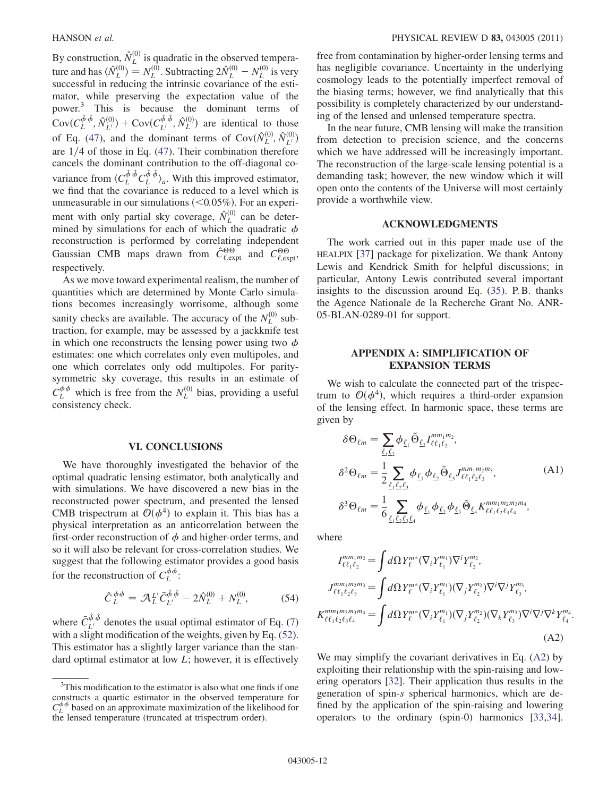By construction,  $\hat{N}_L^{(0)}$  is quadratic in the observed temperature and has  $\langle \hat{N}_L^{(0)} \rangle = N_L^{(0)}$ . Subtracting  $2\hat{N}_L^{(0)} - N_L^{(0)}$  is very successful in reducing the intrinsic covariance of the estithe and has  $\langle v_L \rangle = v_L$ . Subtracting  $2v_L$   $v_L$  is very successful in reducing the intrinsic covariance of the estimator, while preserving the expectation value of the power.3 This is because the dominant terms of  $\text{Cov}(C_L^{\hat{\phi}} , \hat{N}_L^{(0)}) + \text{Cov}(C_L^{\hat{\phi}} , \hat{N}_L^{(0)})$  are identical to those of Eq. (47), and the dominant terms of  $Cov(\hat{N}_L^{(0)}, \hat{N}_{L'}^{(0)})$ are  $1/4$  of those in Eq. (47). Their combination therefore cancels the dominant contribution to the off-diagonal covariance from  $\langle C_L^{\hat{\phi}} \hat{\phi} C_L^{\hat{\phi}} \hat{\phi} \rangle_a$ . With this improved estimator, we find that the covariance is reduced to a level which is unmeasurable in our simulations  $(<0.05\%)$ . For an experiment with only partial sky coverage,  $\hat{N}_L^{(0)}$  can be determined by simulations for each of which the quadratic  $\phi$ reconstruction is performed by correlating independent Gaussian CMB maps drawn from  $\hat{C}^{\Theta\Theta}_{\ell, \text{expt}}$  and  $C^{\Theta\Theta}_{\ell, \text{expt}}$ , respectively.

As we move toward experimental realism, the number of quantities which are determined by Monte Carlo simulations becomes increasingly worrisome, although some sanity checks are available. The accuracy of the  $N_L^{(0)}$  subtraction, for example, may be assessed by a jackknife test in which one reconstructs the lensing power using two  $\phi$ estimates: one which correlates only even multipoles, and one which correlates only odd multipoles. For paritysymmetric sky coverage, this results in an estimate of  $C_L^{\phi\phi}$  which is free from the  $N_L^{(0)}$  bias, providing a useful consistency check.

### VI. CONCLUSIONS

We have thoroughly investigated the behavior of the optimal quadratic lensing estimator, both analytically and with simulations. We have discovered a new bias in the reconstructed power spectrum, and presented the lensed CMB trispectrum at  $\mathcal{O}(\phi^4)$  to explain it. This bias has a physical interpretation as an anticorrelation between the first-order reconstruction of  $\phi$  and higher-order terms, and so it will also be relevant for cross-correlation studies. We suggest that the following estimator provides a good basis for the reconstruction of  $C_L^{\phi\phi}$ :

$$
\hat{C}_L^{\phi\phi} = \mathcal{A}_L^{L'} \bar{C}_{L'}^{\hat{\phi}\hat{\phi}} - 2\hat{N}_L^{(0)} + N_L^{(0)}, \tag{54}
$$

where  $\bar{C}_{L'}^{\hat{\phi}\hat{\phi}}$  denotes the usual optimal estimator of Eq. (7) with a slight modification of the weights, given by Eq. (52). This estimator has a slightly larger variance than the standard optimal estimator at low  $L$ ; however, it is effectively free from contamination by higher-order lensing terms and has negligible covariance. Uncertainty in the underlying cosmology leads to the potentially imperfect removal of the biasing terms; however, we find analytically that this possibility is completely characterized by our understanding of the lensed and unlensed temperature spectra.

In the near future, CMB lensing will make the transition from detection to precision science, and the concerns which we have addressed will be increasingly important. The reconstruction of the large-scale lensing potential is a demanding task; however, the new window which it will open onto the contents of the Universe will most certainly provide a worthwhile view.

#### ACKNOWLEDGMENTS

The work carried out in this paper made use of the HEALPIX [37] package for pixelization. We thank Antony Lewis and Kendrick Smith for helpful discussions; in particular, Antony Lewis contributed several important insights to the discussion around Eq. (35). P. B. thanks the Agence Nationale de la Recherche Grant No. ANR-05-BLAN-0289-01 for support.

### APPENDIX A: SIMPLIFICATION OF EXPANSION TERMS

We wish to calculate the connected part of the trispectrum to  $\mathcal{O}(\phi^4)$ , which requires a third-order expansion of the lensing effect. In harmonic space, these terms are given by

$$
\delta \Theta_{\ell m} = \sum_{\underline{\ell_1 \ell_2}} \phi_{\underline{\ell_1}} \tilde{\Theta}_{\underline{\ell_2}} I_{\ell \ell_1 \ell_2}^{mm_1 m_2},
$$
\n
$$
\delta^2 \Theta_{\ell m} = \frac{1}{2} \sum_{\underline{\ell_1 \ell_2 \ell_3}} \phi_{\underline{\ell_1}} \phi_{\underline{\ell_2}} \tilde{\Theta}_{\underline{\ell_3}} J_{\ell \ell_1 \ell_2 \ell_3}^{mm_1 m_2 m_3},
$$
\n
$$
\delta^3 \Theta_{\ell m} = \frac{1}{6} \sum_{\underline{\ell_1 \ell_2 \ell_3 \ell_4}} \phi_{\underline{\ell_1}} \phi_{\underline{\ell_2}} \phi_{\underline{\ell_3}} \tilde{\Theta}_{\underline{\ell_4}} K_{\ell \ell_1 \ell_2 \ell_3 \ell_4}^{mm_1 m_2 m_3 m_4},
$$
\n(A1)

where

$$
I_{\ell\ell_1\ell_2}^{mm_1m_2} = \int d\Omega Y_{\ell}^{m*} (\nabla_i Y_{\ell_1}^{m_1}) \nabla^i Y_{\ell_2}^{m_2},
$$
  
\n
$$
J_{\ell\ell_1\ell_2\ell_3}^{mm_1m_2m_3} = \int d\Omega Y_{\ell}^{m*} (\nabla_i Y_{\ell_1}^{m_1}) (\nabla_j Y_{\ell_2}^{m_2}) \nabla^i \nabla^j Y_{\ell_3}^{m_3},
$$
  
\n
$$
K_{\ell\ell_1\ell_2\ell_3\ell_4}^{mm_1m_2m_3m_4} = \int d\Omega Y_{\ell}^{m*} (\nabla_i Y_{\ell_1}^{m_1}) (\nabla_j Y_{\ell_2}^{m_2}) (\nabla_k Y_{\ell_3}^{m_3}) \nabla^i \nabla^j \nabla^k Y_{\ell_4}^{m_4}.
$$
  
\n(A2)

We may simplify the covariant derivatives in Eq. (A2) by exploiting their relationship with the spin-raising and lowering operators [32]. Their application thus results in the generation of spin-s spherical harmonics, which are defined by the application of the spin-raising and lowering operators to the ordinary (spin-0) harmonics [33,34].

<sup>&</sup>lt;sup>3</sup>This modification to the estimator is also what one finds if one constructs a quartic estimator in the observed temperature for  $C_L^{\phi\phi}$  based on an approximate maximization of the likelihood for the lensed temperature (truncated at trispectrum order).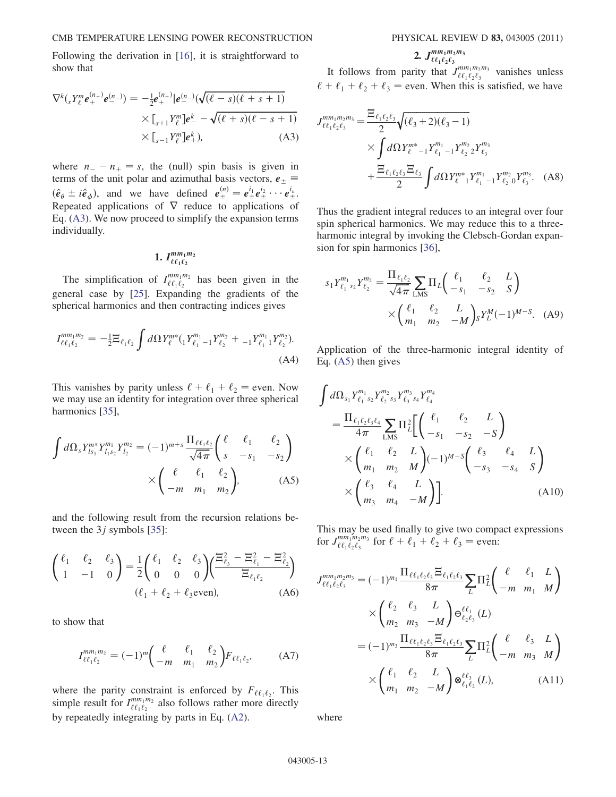Following the derivation in [16], it is straightforward to show that

$$
\nabla^{k} ({}_{s} Y_{\ell}^{m} \boldsymbol{e}_{+}^{(n_{+})} \boldsymbol{e}_{-}^{(n_{-})}) = -\frac{1}{2} \boldsymbol{e}_{+}^{(n_{+})} |\boldsymbol{e}_{-}^{(n_{-})} (\sqrt{(\ell - s)(\ell + s + 1)} \times [{}_{s+1} Y_{\ell}^{m}] \boldsymbol{e}_{-}^{k} - \sqrt{(\ell + s)(\ell - s + 1)} \times [{}_{s-1} Y_{\ell}^{m}] \boldsymbol{e}_{+}^{k}), \tag{A3}
$$

where  $n_{-} - n_{+} = s$ , the (null) spin basis is given in<br>terms of the unit polar and azimuthal basis vectors  $e_{+} \equiv$ terms of the unit polar and azimuthal basis vectors,  $e_{\pm} \equiv$  $(\hat{e}_{\theta} \pm i\hat{e}_{\phi})$ , and we have defined  $e_{\pm}^{(n)} = e_{\pm}^{i_1}e_{\pm}^{i_2}\cdots e_{\pm}^{i_n}$ .<br>Repeated applications of  $\nabla$  reduce to applications of Repeated applications of  $\nabla$  reduce to applications of Eq. (A3). We now proceed to simplify the expansion terms individually.

$$
1.~I^{mm_1m_2}_{\ell\ell_1\ell_2}
$$

The simplification of  $I^{mm_1m_2}_{\ell \ell_1 \ell_2}$  has been given in the general case by [25]. Expanding the gradients of the spherical harmonics and then contracting indices gives

$$
I_{\ell\ell_1\ell_2}^{mm_1m_2} = -\frac{1}{2} \Xi_{\ell_1\ell_2} \int d\Omega Y_{\ell}^{m*} ({}_{1}Y_{\ell_1-1}^{m_1} Y_{\ell_2}^{m_2} + {}_{-1}Y_{\ell_1-1}^{m_1} Y_{\ell_2}^{m_2}).
$$
\n(A4)

This vanishes by parity unless  $\ell + \ell_1 + \ell_2$  = even. Now we may use an identity for integration over three spherical harmonics [35],

$$
\int d\Omega_s Y_{ls_1}^{m*} Y_{l_1 s_2}^{m_1} Y_{l_2}^{m_2} = (-1)^{m+s} \frac{\Pi_{\ell \ell_1 \ell_2}}{\sqrt{4\pi}} \begin{pmatrix} \ell & \ell_1 & \ell_2 \\ s & -s_1 & -s_2 \end{pmatrix}
$$

$$
\times \begin{pmatrix} \ell & \ell_1 & \ell_2 \\ -m & m_1 & m_2 \end{pmatrix},
$$
 (A5)

and the following result from the recursion relations between the  $3j$  symbols [35]:

$$
\begin{pmatrix} \ell_1 & \ell_2 & \ell_3 \\ 1 & -1 & 0 \end{pmatrix} = \frac{1}{2} \begin{pmatrix} \ell_1 & \ell_2 & \ell_3 \\ 0 & 0 & 0 \end{pmatrix} \begin{pmatrix} \frac{\Xi_{\ell_3}^2 - \Xi_{\ell_1}^2 - \Xi_{\ell_2}^2}{\Xi_{\ell_1 \ell_2}} \\ \frac{\Xi_{\ell_1 \ell_2}}{\Xi_{\ell_1 \ell_2}} \end{pmatrix}
$$
  
( $\ell_1 + \ell_2 + \ell_3$ even), (A6)

to show that

$$
I_{\ell\ell_1\ell_2}^{mm_1m_2} = (-1)^m \left( \begin{array}{cc} \ell & \ell_1 & \ell_2 \\ -m & m_1 & m_2 \end{array} \right) F_{\ell\ell_1\ell_2}, \tag{A7}
$$

where the parity constraint is enforced by  $F_{\ell\ell_1\ell_2}$ . This simple result for  $I^{mm_1m_2}_{\ell \ell_1 \ell_2}$  also follows rather more directly by repeatedly integrating by parts in Eq. (A2).

# 2.  $J_{\ell \ell_1 \ell_2 \ell_3}^{mm_1 m_2 m_3}$

It follows from parity that  $J_{\ell \ell_1 \ell_2 \ell_3}^{m m_1 m_2 m_3}$  vanishes unless  $\ell + \ell_1 + \ell_2 + \ell_3$  = even. When this is satisfied, we have

$$
J_{\ell\ell_1\ell_2\ell_3}^{mm_1m_2m_3} = \frac{\Xi_{\ell_1\ell_2\ell_3}}{2} \sqrt{(\ell_3 + 2)(\ell_3 - 1)}
$$
  
 
$$
\times \int d\Omega Y_{\ell}^{m*}{}_{-1} Y_{\ell_1}^{m_1}{}_{-1} Y_{\ell_2}^{m_2} {}_{2} Y_{\ell_3}^{m_3}
$$
  
 
$$
+ \frac{\Xi_{\ell_1\ell_2\ell_3} \Xi_{\ell_3}}{2} \int d\Omega Y_{\ell}^{m*}{}_{1} Y_{\ell_1}^{m_1}{}_{-1} Y_{\ell_2}^{m_2} {}_{0} Y_{\ell_3}^{m_3}.
$$
 (A8)

Thus the gradient integral reduces to an integral over four spin spherical harmonics. We may reduce this to a threeharmonic integral by invoking the Clebsch-Gordan expansion for spin harmonics [36],

$$
s_1 Y_{\ell_1 \, s_2}^{m_1} Y_{\ell_2}^{m_2} = \frac{\Pi_{\ell_1 \ell_2}}{\sqrt{4\pi}} \sum_{\text{LMS}} \Pi_L \begin{pmatrix} \ell_1 & \ell_2 & L \\ -s_1 & -s_2 & S \end{pmatrix}
$$

$$
\times \begin{pmatrix} \ell_1 & \ell_2 & L \\ m_1 & m_2 & -M \end{pmatrix} s Y_L^M (-1)^{M-S}.
$$
 (A9)

Application of the three-harmonic integral identity of Eq. (A5) then gives

$$
\int d\Omega_{s_1} Y_{\ell_1 \, s_2}^{m_1} Y_{\ell_2 \, s_3}^{m_2} Y_{\ell_3 \, s_4}^{m_3} Y_{\ell_4}^{m_4}
$$
\n
$$
= \frac{\Pi_{\ell_1 \ell_2 \ell_3 \ell_4}}{4\pi} \sum_{\text{LMS}} \Pi_{\ell_2}^2 \left[ \begin{pmatrix} \ell_1 & \ell_2 & L \\ -s_1 & -s_2 & -S \end{pmatrix} \right]
$$
\n
$$
\times \begin{pmatrix} \ell_1 & \ell_2 & L \\ m_1 & m_2 & M \end{pmatrix} (-1)^{M-S} \begin{pmatrix} \ell_3 & \ell_4 & L \\ -s_3 & -s_4 & S \end{pmatrix}
$$
\n
$$
\times \begin{pmatrix} \ell_3 & \ell_4 & L \\ m_3 & m_4 & -M \end{pmatrix} \right].
$$
\n(A10)

This may be used finally to give two compact expressions for  $J_{\ell\ell_1\ell_2\ell_3}^{mm_1m_2m_3}$  for  $\ell + \ell_1 + \ell_2 + \ell_3 =$  even:

$$
J_{\ell\ell_1\ell_2\ell_3}^{mm_1m_2m_3} = (-1)^{m_1} \frac{\Pi_{\ell\ell_1\ell_2\ell_3} \Xi_{\ell_1\ell_2\ell_3}}{8\pi} \sum_{L} \Pi_{L}^2 \begin{pmatrix} \ell & \ell_1 & L \\ -m & m_1 & M \end{pmatrix}
$$

$$
\times \begin{pmatrix} \ell_2 & \ell_3 & L \\ m_2 & m_3 & -M \end{pmatrix} \Theta_{\ell_2\ell_3}^{\ell\ell_1} (L)
$$

$$
= (-1)^{m_3} \frac{\Pi_{\ell\ell_1\ell_2\ell_3} \Xi_{\ell_1\ell_2\ell_3}}{8\pi} \sum_{L} \Pi_{L}^2 \begin{pmatrix} \ell & \ell_3 & L \\ -m & m_3 & M \end{pmatrix}
$$

$$
\times \begin{pmatrix} \ell_1 & \ell_2 & L \\ m_1 & m_2 & -M \end{pmatrix} \otimes_{\ell_1\ell_2}^{\ell\ell_3} (L), \qquad (A11)
$$

where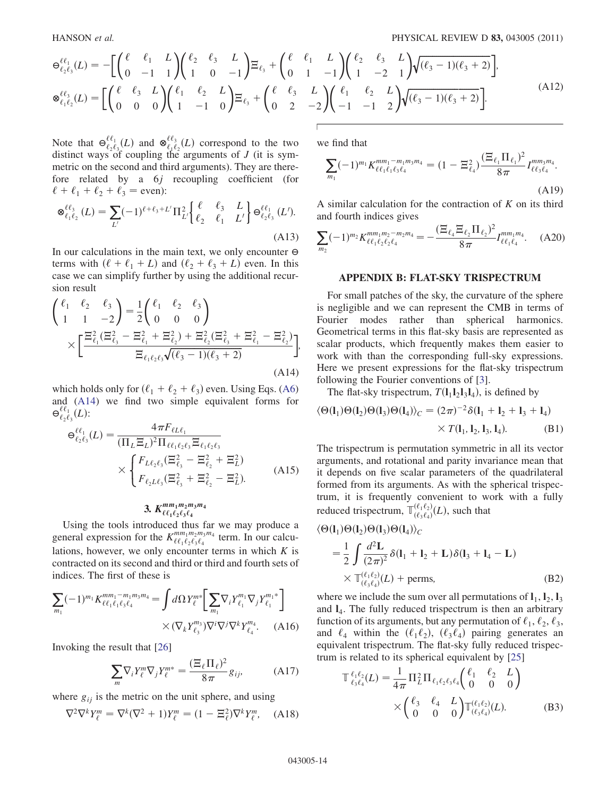$$
\Theta_{\ell_2\ell_3}^{\ell\ell_1}(L) = -\Biggl[ \begin{pmatrix} \ell & \ell_1 & L \\ 0 & -1 & 1 \end{pmatrix} \begin{pmatrix} \ell_2 & \ell_3 & L \\ 1 & 0 & -1 \end{pmatrix} \Xi_{\ell_3} + \begin{pmatrix} \ell & \ell_1 & L \\ 0 & 1 & -1 \end{pmatrix} \begin{pmatrix} \ell_2 & \ell_3 & L \\ 1 & -2 & 1 \end{pmatrix} \sqrt{(\ell_3 - 1)(\ell_3 + 2)} \Biggr],
$$
  
\n
$$
\Theta_{\ell_1\ell_2}^{\ell\ell_3}(L) = \Biggl[ \begin{pmatrix} \ell & \ell_3 & L \\ 0 & 0 & 0 \end{pmatrix} \begin{pmatrix} \ell_1 & \ell_2 & L \\ 1 & -1 & 0 \end{pmatrix} \Xi_{\ell_3} + \begin{pmatrix} \ell & \ell_3 & L \\ 0 & 2 & -2 \end{pmatrix} \begin{pmatrix} \ell_1 & \ell_2 & L \\ -1 & -1 & 2 \end{pmatrix} \sqrt{(\ell_3 - 1)(\ell_3 + 2)} \Biggr].
$$
\n(A12)

Note that  $\Theta_{\ell_2\ell_3}^{\ell\ell_1}(L)$  and  $\otimes_{\ell_1\ell_2}^{\ell\ell_3}(L)$  correspond to the two distinct ways of coupling the arguments of *I* (it is symdistinct ways of coupling the arguments of  $J$  (it is symmetric on the second and third arguments). They are therefore related by a 6j recoupling coefficient (for  $\ell + \ell_1 + \ell_2 + \ell_3 =$  even): j.

$$
\mathbf{e}_{\ell_1 \ell_2}^{\ell \ell_3} (L) = \sum_{L'} (-1)^{\ell + \ell_3 + L'} \Pi_{L'}^2 \left\{ \begin{array}{ll} \ell & \ell_3 & L \\ \ell_2 & \ell_1 & L' \end{array} \right\} \mathbf{e}_{\ell_2 \ell_3}^{\ell \ell_1} (L').
$$
\n(A13)

In our calculations in the main text, we only encounter  $\Theta$ terms with  $(\ell + \ell_1 + L)$  and  $(\ell_2 + \ell_3 + L)$  even. In this case we can simplify further by using the additional recur- $\sin$  result

$$
\begin{aligned}\n\begin{pmatrix}\n\ell_1 & \ell_2 & \ell_3 \\
1 & 1 & -2\n\end{pmatrix} &= \frac{1}{2} \begin{pmatrix}\n\ell_1 & \ell_2 & \ell_3 \\
0 & 0 & 0\n\end{pmatrix} \\
& \times \left[ \frac{\Xi_{\ell_1}^2 (\Xi_{\ell_3}^2 - \Xi_{\ell_1}^2 + \Xi_{\ell_2}^2) + \Xi_{\ell_2}^2 (\Xi_{\ell_3}^2 + \Xi_{\ell_1}^2 - \Xi_{\ell_2}^2)}{\Xi_{\ell_1 \ell_2 \ell_3} \sqrt{(\ell_3 - 1)(\ell_3 + 2)}} \right],\n\end{aligned}
$$
\n(A14)

which holds only for  $(\ell_1 + \ell_2 + \ell_3)$  even. Using Eqs. (A6) and (A14) we find two simple equivalent forms for  $\Theta_{\ell_2\ell_3}^{\ell\ell_1}(L)$ :

$$
\Theta_{\ell_2\ell_3}^{\\\ell\ell_1}(L) = \frac{4\pi F_{\ell L\ell_1}}{(\Pi_L \Xi_L)^2 \Pi_{\ell\ell_1\ell_2\ell_3} \Xi_{\ell_1\ell_2\ell_3}} \times \begin{cases} F_{L\ell_2\ell_3}(\Xi_{\ell_3}^2 - \Xi_{\ell_2}^2 + \Xi_L^2) \\ F_{\ell_2L\ell_3}(\Xi_{\ell_3}^2 + \Xi_{\ell_2}^2 - \Xi_L^2). \end{cases} (A15)
$$

# 3.  $K_{\ell \ell_1 \ell_2 \ell_3 \ell_4}^{mm_1m_2m_3m_4}$

Using the tools introduced thus far we may produce a general expression for the  $K^{mm_1m_2m_3m_4}_{\ell\ell_1\ell_2\ell_3\ell_4}$  term. In our calculations, however, we only encounter terms in which  $K$  is contracted on its second and third or third and fourth sets of indices. The first of these is  $\overline{a}$ 

$$
\sum_{m_1} (-1)^{m_1} K^{mm_1-m_1m_3m_4}_{\ell\ell_1\ell_1\ell_3\ell_4} = \int d\Omega Y^{m*}_{\ell} \left[ \sum_{m_1} \nabla_i Y^{m_1}_{\ell_1} \nabla_j Y^{m_1*}_{\ell_1} \right] \times (\nabla_k Y^{m_3}_{\ell_3}) \nabla^i \nabla^j \nabla^k Y^{m_4}_{\ell_4}.
$$
 (A16)

Invoking the result that [26]

$$
\sum_{m} \nabla_i Y_{\ell}^{m} \nabla_j Y_{\ell}^{m*} = \frac{(\Xi_{\ell} \Pi_{\ell})^2}{8\pi} g_{ij}, \tag{A17}
$$

where  $g_{ij}$  is the metric on the unit sphere, and using

$$
\nabla^2 \nabla^k Y_\ell^m = \nabla^k (\nabla^2 + 1) Y_\ell^m = (1 - \Xi_\ell^2) \nabla^k Y_\ell^m, \quad \text{(A18)}
$$

we find that

$$
\sum_{m_1} (-1)^{m_1} K_{\ell\ell_1\ell_1\ell_3\ell_4}^{mm_1-m_1m_3m_4} = (1 - \Xi_{\ell_4}^2) \frac{(\Xi_{\ell_1}\Pi_{\ell_1})^2}{8\pi} I_{\ell\ell_3\ell_4}^{mm_3m_4}.
$$
\n(A19)

A similar calculation for the contraction of  $K$  on its third and fourth indices gives

$$
\sum_{m_2} (-1)^{m_2} K^{mm_1m_2-m_2m_4}_{\ell\ell_1\ell_2\ell_2\ell_4} = -\frac{(\Xi_{\ell_4} \Xi_{\ell_2} \Pi_{\ell_2})^2}{8\pi} I^{mm_1m_4}_{\ell\ell_1\ell_4}.
$$
 (A20)

### APPENDIX B: FLAT-SKY TRISPECTRUM

For small patches of the sky, the curvature of the sphere is negligible and we can represent the CMB in terms of Fourier modes rather than spherical harmonics. Geometrical terms in this flat-sky basis are represented as scalar products, which frequently makes them easier to work with than the corresponding full-sky expressions. Here we present expressions for the flat-sky trispectrum following the Fourier conventions of [3].

The flat-sky trispectrum,  $T(l_1l_2l_3l_4)$ , is defined by

$$
\langle \Theta(\mathbf{l}_1) \Theta(\mathbf{l}_2) \Theta(\mathbf{l}_3) \Theta(\mathbf{l}_4) \rangle_C = (2\pi)^{-2} \delta(\mathbf{l}_1 + \mathbf{l}_2 + \mathbf{l}_3 + \mathbf{l}_4) \times T(\mathbf{l}_1, \mathbf{l}_2, \mathbf{l}_3, \mathbf{l}_4). \tag{B1}
$$

The trispectrum is permutation symmetric in all its vector arguments, and rotational and parity invariance mean that it depends on five scalar parameters of the quadrilateral formed from its arguments. As with the spherical trispectrum, it is frequently convenient to work with a fully reduced trispectrum,  $\mathbb{T}^{(\ell_1\ell_2)}_{(\ell_3\ell_4)}(L)$ , such that

$$
\langle \Theta(\mathbf{l}_1) \Theta(\mathbf{l}_2) \Theta(\mathbf{l}_3) \Theta(\mathbf{l}_4) \rangle_C
$$
  
=  $\frac{1}{2} \int \frac{d^2 \mathbf{L}}{(2\pi)^2} \delta(\mathbf{l}_1 + \mathbf{l}_2 + \mathbf{L}) \delta(\mathbf{l}_3 + \mathbf{l}_4 - \mathbf{L})$   
 $\times \mathbb{T}_{(\ell_3 \ell_4)}^{(\ell_1 \ell_2)}(L) + \text{perms},$  (B2)

where we include the sum over all permutations of  $\mathbf{l}_1, \mathbf{l}_2, \mathbf{l}_3$ and  $I_4$ . The fully reduced trispectrum is then an arbitrary function of its arguments, but any permutation of  $\ell_1, \ell_2, \ell_3$ , and  $\ell_4$  within the  $(\ell_1 \ell_2)$ ,  $(\ell_3 \ell_4)$  pairing generates an equivalent trispectrum. The flat-sky fully reduced trispec-

trum is related to its spherical equivalent by [25]  
\n
$$
\mathbb{T}^{\ell_1 \ell_2}_{\ell_3 \ell_4}(L) = \frac{1}{4\pi} \Pi_L^2 \Pi_{\ell_1 \ell_2 \ell_3 \ell_4} {\ell_1 \quad \ell_2 \quad L \choose 0 \quad 0 \quad 0}
$$
\n
$$
\times {\ell_3 \quad \ell_4 \quad L \choose 0 \quad 0 \quad 0} \mathbb{T}^{(\ell_1 \ell_2)}_{(\ell_3 \ell_4)}(L). \tag{B3}
$$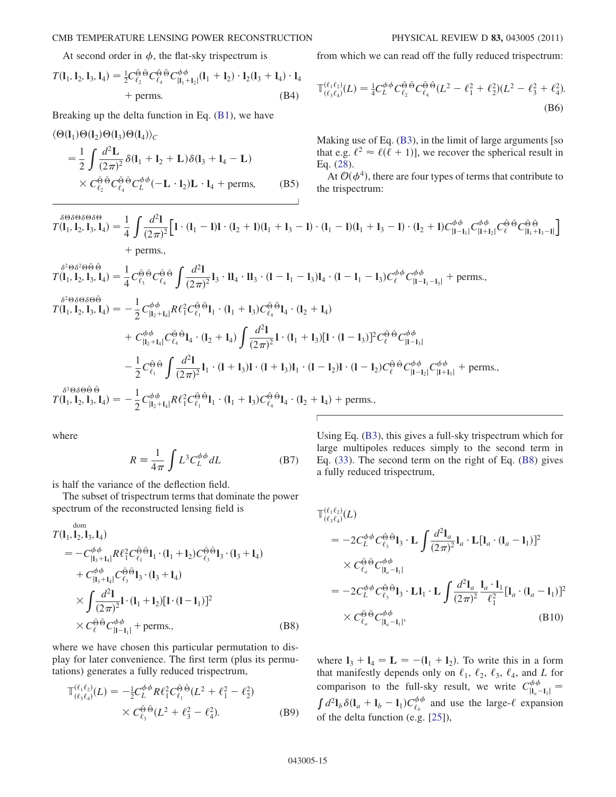#### CMB TEMPERATURE LENSING POWER RECONSTRUCTION PHYSICAL REVIEW D 83, 043005 (2011)

At second order in  $\phi$ , the flat-sky trispectrum is

$$
T(\mathbf{l}_1, \mathbf{l}_2, \mathbf{l}_3, \mathbf{l}_4) = \frac{1}{2} C_{\ell_2}^{\tilde{\Theta}} C_{\ell_4}^{\tilde{\Theta}} C_{|\mathbf{l}_1 + \mathbf{l}_2|}^{\tilde{\Theta}} (\mathbf{l}_1 + \mathbf{l}_2) \cdot \mathbf{l}_2 (\mathbf{l}_3 + \mathbf{l}_4) \cdot \mathbf{l}_4
$$
  
+ perms. (B4)

Breaking up the delta function in Eq. (B1), we have

$$
\langle \Theta(\mathbf{l}_1) \Theta(\mathbf{l}_2) \Theta(\mathbf{l}_3) \Theta(\mathbf{l}_4) \rangle_C
$$
  
=  $\frac{1}{2} \int \frac{d^2 \mathbf{L}}{(2\pi)^2} \delta(\mathbf{l}_1 + \mathbf{l}_2 + \mathbf{L}) \delta(\mathbf{l}_3 + \mathbf{l}_4 - \mathbf{L})$   
 $\times C_{\ell_2}^{\Theta} \Theta C_{\ell_4}^{\Theta} C_{\ell_2}^{\phi} (-\mathbf{L} \cdot \mathbf{l}_2) \mathbf{L} \cdot \mathbf{l}_4 + \text{perms},$  (B5)

from which we can read off the fully reduced trispectrum:

$$
\mathbb{T}^{(\ell_1 \ell_2)}_{(\ell_3 \ell_4)}(L) = \frac{1}{4} C_L^{\phi \phi} C_{\ell_2}^{\tilde{\Theta}} \tilde{\Theta} C_{\ell_4}^{\tilde{\Theta}} (L^2 - \ell_1^2 + \ell_2^2)(L^2 - \ell_3^2 + \ell_4^2). \tag{B6}
$$

Making use of Eq. (B3), in the limit of large arguments [so that e.g.  $\ell^2 \approx \ell(\ell + 1)$ , we recover the spherical result in Eq. (28).

At  $\mathcal{O}(\phi^4)$ , there are four types of terms that contribute to the trispectrum:

$$
\begin{split} \n\delta^{\Theta\delta\Theta\delta\Theta\delta\Theta}_{T}(I_1, I_2, I_3, I_4) &= \frac{1}{4} \int \frac{d^2 I}{(2\pi)^2} \Big[ \mathbf{1} \cdot (I_1 - I) \mathbf{1} \cdot (I_2 + I)(I_1 + I_3 - I) \cdot (I_1 - I)(I_1 + I_3 - I) \cdot (I_2 + I) C_{|I - I_1|}^{\phi\phi} C_{|I_1 + I_2|}^{\phi\phi} C_{|I_1 + I_3 - I|}^{\phi\phi} \Big] \\ \n&\quad + \text{perms.}, \n\end{split}
$$

$$
f(1_{1}, 1_{2}, 1_{3}, 1_{4}) = \frac{1}{4} C_{\ell_{3}}^{\tilde{\Theta}} \tilde{\Theta} C_{\ell_{4}}^{\tilde{\Theta}} \int \frac{d^{2}l}{(2\pi)^{2}} I_{3} \cdot I_{4} \cdot I_{3} \cdot (1 - I_{1} - I_{3}) I_{4} \cdot (1 - I_{1} - I_{3}) C_{\ell}^{\phi} \phi C_{|l-1_{1}-1_{3}|}^{\phi} + \text{perms.},
$$
\n
$$
f(1_{1}, 1_{2}, 1_{3}, 1_{4}) = -\frac{1}{2} C_{|l_{2}+1_{4}|}^{\phi} R_{1}^{2} C_{\ell_{1}}^{\tilde{\Theta}} \tilde{\Theta} I_{1} \cdot (1_{1} + I_{3}) C_{\ell_{4}}^{\tilde{\Theta}} \tilde{\Theta} I_{4} \cdot (1_{2} + I_{4})
$$
\n
$$
+ C_{|l_{2}+1_{4}|}^{\phi} C_{\ell_{4}}^{\tilde{\Theta}} \tilde{\Theta} I_{4} \cdot (1_{2} + I_{4}) \int \frac{d^{2}l}{(2\pi)^{2}} I \cdot (1_{1} + I_{3}) [I \cdot (1 - I_{3})]^{2} C_{\ell}^{\tilde{\Theta}} \tilde{\Theta} C_{|l-1_{3}|}^{\phi} - \frac{1}{2} C_{\ell_{1}}^{\tilde{\Theta}} \tilde{\Theta} \int \frac{d^{2}l}{(2\pi)^{2}} I_{1} \cdot (1 + I_{3}) I \cdot (1 - I_{2}) I \cdot (1 - I_{2}) C_{\ell}^{\tilde{\Theta}} \tilde{\Theta} C_{|l-1_{2}|}^{\phi} C_{|l-1_{2}|}^{\phi} C_{|l+1_{3}|}^{\phi} + \text{perms.},
$$
\n
$$
\delta^{3} \Theta \delta \Theta \tilde{\Theta} \tilde{\Theta}
$$
\n
$$
f(1_{1}, 1_{2}, 1_{3}, 1_{4}) = -\frac{1}{2} C_{|l_{2}+1_{4}|}^{\phi} R \ell_{1}^{2} C_{\ell_{1}}^{\tilde{\Theta}} \tilde{\Theta} I_{1} \cdot (1_{1} + I_{3}) C_{\ell_{4}}^{\tilde{\Theta}} \tilde{\Theta} I_{4} \cdot (1_{2} + I_{
$$

where

$$
R \equiv \frac{1}{4\pi} \int L^3 C_L^{\phi\phi} dL
$$
 (B7)

is half the variance of the deflection field.

The subset of trispectrum terms that dominate the power spectrum of the reconstructed lensing field is

$$
T(l_1, l_2, l_3, l_4)
$$
  
=  $-C_{|l_3+l_4|}^{\phi\phi} R \ell_1^2 C_{\ell_1}^{\tilde{\Theta}} \tilde{\Theta} l_1 \cdot (l_1 + l_2) C_{\ell_3}^{\tilde{\Theta}} \tilde{\Theta} l_3 \cdot (l_3 + l_4)$   
+  $C_{|l_3+l_4|}^{\phi\phi} C_{\ell_3}^{\tilde{\Theta}} \tilde{\Theta} l_3 \cdot (l_3 + l_4)$   
 $\times \int \frac{d^2l}{(2\pi)^2} l \cdot (l_1 + l_2) [l \cdot (l - l_1)]^2$   
 $\times C_{\ell}^{\tilde{\Theta}} \tilde{\Theta} C_{|l-l_1|}^{\phi\phi} + \text{perms.},$  (B8)

where we have chosen this particular permutation to display for later convenience. The first term (plus its permutations) generates a fully reduced trispectrum,

$$
\mathbb{T}^{(\ell_1 \ell_2)}_{(\ell_3 \ell_4)}(L) = -\frac{1}{2} C_L^{\phi \phi} R \ell_1^2 C_{\ell_1}^{\tilde{\Theta}} \tilde{\Theta} (L^2 + \ell_1^2 - \ell_2^2) \times C_{\ell_3}^{\tilde{\Theta}} \tilde{\Theta} (L^2 + \ell_3^2 - \ell_4^2).
$$
 (B9)

Using Eq. (B3), this gives a full-sky trispectrum which for large multipoles reduces simply to the second term in Eq. (33). The second term on the right of Eq. (B8) gives a fully reduced trispectrum,

$$
\mathbb{T}^{(\ell_1 \ell_2)}_{(\ell_3 \ell_4)}(L)
$$
\n
$$
= -2C_L^{\phi \phi} C_{\ell_3}^{\tilde{\Theta}} \tilde{\mathbf{U}}_3 \cdot \mathbf{L} \int \frac{d^2 \mathbf{l}_a}{(2\pi)^2} \mathbf{l}_a \cdot \mathbf{L} [\mathbf{l}_a \cdot (\mathbf{l}_a - \mathbf{l}_1)]^2
$$
\n
$$
\times C_{\ell_a}^{\tilde{\Theta}} \tilde{\mathbf{C}}_{|\mathbf{l}_a - \mathbf{l}_1|}^{\phi \phi}
$$
\n
$$
= -2C_L^{\phi \phi} C_{\ell_3}^{\tilde{\Theta}} \tilde{\mathbf{O}} \mathbf{l}_3 \cdot \mathbf{L} \mathbf{l}_1 \cdot \mathbf{L} \int \frac{d^2 \mathbf{l}_a}{(2\pi)^2} \frac{\mathbf{l}_a \cdot \mathbf{l}_1}{\ell_1^2} [\mathbf{l}_a \cdot (\mathbf{l}_a - \mathbf{l}_1)]^2
$$
\n
$$
\times C_{\ell_a}^{\tilde{\Theta}} \tilde{\mathbf{C}}_{|\mathbf{l}_a - \mathbf{l}_1|}^{\phi \phi}, \qquad (B10)
$$

where  $I_3 + I_4 = L = -(I_1 + I_2)$ . To write this in a form<br>that manifestly depends only on  $\ell_1$ ,  $\ell_2$ ,  $\ell_3$ ,  $\ell_4$ , and L for that manifestly depends only on  $\ell_1$ ,  $\ell_2$ ,  $\ell_3$ ,  $\ell_4$ , and L for comparison to the full-sky result, we write  $C_{1}^{\phi\phi}$  $\vert \mathbf{l}_a-$ Let  $\int d^2I_b \delta(I_a + I_b - I_1) C_{\ell_b}^{\phi\phi}$  and use the large- $\ell$  expansion<br>of the data function  $(e, \epsilon, 1251)$ of the delta function (e.g. [25]),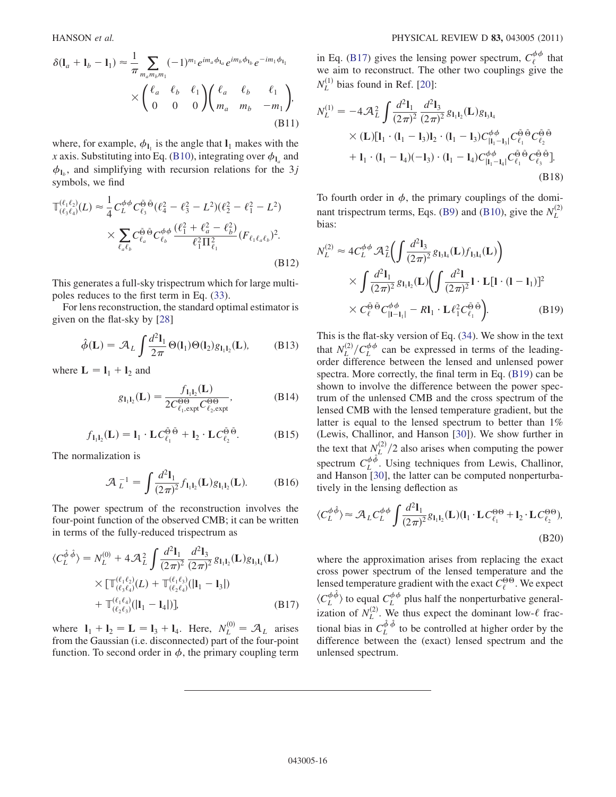$$
\delta(\mathbf{l}_a + \mathbf{l}_b - \mathbf{l}_1) \approx \frac{1}{\pi} \sum_{m_a m_b m_1} (-1)^{m_1} e^{i m_a \phi_{\mathbf{l}_a}} e^{i m_b \phi_{\mathbf{l}_b}} e^{-i m_1 \phi_{\mathbf{l}_1}}
$$

$$
\times \begin{pmatrix} \ell_a & \ell_b & \ell_1 \\ 0 & 0 & 0 \end{pmatrix} \begin{pmatrix} \ell_a & \ell_b & \ell_1 \\ m_a & m_b & -m_1 \end{pmatrix},
$$
(B11)

where, for example,  $\phi_{1}$  is the angle that  $l_1$  makes with the x axis. Substituting into Eq. (B10), integrating over  $\phi_{I_a}$  and  $\phi_{\mathbf{l}_h}$ , and simplifying with recursion relations for the 3j symbols, we find

$$
\mathbb{T}^{(\ell_1 \ell_2)}_{(\ell_3 \ell_4)}(L) \approx \frac{1}{4} C_L^{\phi \phi} C_{\ell_3}^{\tilde{\Theta}} \tilde{\Theta} (\ell_4^2 - \ell_3^2 - L^2)(\ell_2^2 - \ell_1^2 - L^2) \times \sum_{\ell_a \ell_b} C_{\ell_a}^{\tilde{\Theta}} \tilde{\Theta} C_{\ell_b}^{\phi \phi} \frac{(\ell_1^2 + \ell_a^2 - \ell_b^2)}{\ell_1^2 \Pi_{\ell_1}^2} (F_{\ell_1 \ell_a \ell_b})^2.
$$
\n(B12)

This generates a full-sky trispectrum which for large multipoles reduces to the first term in Eq. (33).

For lens reconstruction, the standard optimal estimator is given on the flat-sky by [28]

$$
\hat{\phi}(\mathbf{L}) = \mathcal{A}_L \int \frac{d^2 \mathbf{l}_1}{2\pi} \Theta(\mathbf{l}_1) \Theta(\mathbf{l}_2) g_{\mathbf{l}_1 \mathbf{l}_2}(\mathbf{L}), \quad (B13)
$$

where  $\mathbf{L} = \mathbf{l}_1 + \mathbf{l}_2$  and

$$
g_{1_1 1_2}(\mathbf{L}) = \frac{f_{1_1 1_2}(\mathbf{L})}{2C_{\ell_1, \exp\ell}^{\Theta 0} C_{\ell_2, \exp\ell}^{\Theta 0}},
$$
(B14)

$$
f_{\mathbf{l}_1 \mathbf{l}_2}(\mathbf{L}) = \mathbf{l}_1 \cdot \mathbf{L} C_{\ell_1}^{\tilde{\Theta} \tilde{\Theta}} + \mathbf{l}_2 \cdot \mathbf{L} C_{\ell_2}^{\tilde{\Theta} \tilde{\Theta}}.
$$
 (B15)

The normalization is

$$
\mathcal{A}_L^{-1} = \int \frac{d^2 \mathbf{l}_1}{(2\pi)^2} f_{\mathbf{l}_1 \mathbf{l}_2}(\mathbf{L}) g_{\mathbf{l}_1 \mathbf{l}_2}(\mathbf{L}). \tag{B16}
$$

The power spectrum of the reconstruction involves the four-point function of the observed CMB; it can be written in terms of the fully-reduced trispectrum as

$$
\langle C_L^{\hat{\phi}} \hat{\phi} \rangle = N_L^{(0)} + 4 \mathcal{A}_L^2 \int \frac{d^2 \mathbf{l}_1}{(2\pi)^2} \frac{d^2 \mathbf{l}_3}{(2\pi)^2} g_{1_1 1_2}(\mathbf{L}) g_{1_3 1_4}(\mathbf{L})
$$
  
 
$$
\times \left[ \mathbb{T}_{(\ell_3 \ell_4)}^{(\ell_1 \ell_2)}(L) + \mathbb{T}_{(\ell_2 \ell_4)}^{(\ell_1 \ell_3)}(|\mathbf{l}_1 - \mathbf{l}_3|) + \mathbb{T}_{(\ell_2 \ell_3)}^{(\ell_1 \ell_4)}(|\mathbf{l}_1 - \mathbf{l}_4|) \right], \tag{B17}
$$

where  $I_1 + I_2 = L = I_3 + I_4$ . Here,  $N_L^{(0)} = A_L$  arises<br>from the Gaussian (i.e. disconnected) part of the four-point from the Gaussian (i.e. disconnected) part of the four-point function. To second order in  $\phi$ , the primary coupling term

in Eq. (B17) gives the lensing power spectrum,  $C_{\ell}^{\phi\phi}$  that we aim to reconstruct. The other two couplings give the  $N_L^{(1)}$  bias found in Ref. [20]:

$$
N_L^{(1)} = -4\mathcal{A}_L^2 \int \frac{d^2 \mathbf{l}_1}{(2\pi)^2} \frac{d^2 \mathbf{l}_3}{(2\pi)^2} g_{1_1 1_2}(\mathbf{L}) g_{1_3 1_4}
$$
  
 
$$
\times (\mathbf{L}) [\mathbf{l}_1 \cdot (\mathbf{l}_1 - \mathbf{l}_3) \mathbf{l}_2 \cdot (\mathbf{l}_1 - \mathbf{l}_3) C_{|\mathbf{l}_1 - \mathbf{l}_3|}^{\phi} C_{\ell_1}^{\tilde{\phi}} C_{\ell_2}^{\tilde{\phi}} -\mathbf{l}_1 \cdot (\mathbf{l}_1 - \mathbf{l}_4) (-\mathbf{l}_3) \cdot (\mathbf{l}_1 - \mathbf{l}_4) C_{|\mathbf{l}_1 - \mathbf{l}_4|}^{\phi} C_{\ell_1}^{\tilde{\phi}} C_{\ell_3}^{\tilde{\phi}} \tilde{\theta}].
$$
  
(B18)

To fourth order in  $\phi$ , the primary couplings of the dominant trispectrum terms, Eqs. (B9) and (B10), give the  $N_L^{(2)}$ bias:

$$
N_L^{(2)} \approx 4C_L^{\phi\phi} \mathcal{A}_L^2 \bigg( \int \frac{d^2 \mathbf{l}_3}{(2\pi)^2} g_{1,1_4}(\mathbf{L}) f_{1,1_4}(\mathbf{L}) \bigg) \times \int \frac{d^2 \mathbf{l}_1}{(2\pi)^2} g_{1,1_2}(\mathbf{L}) \bigg( \int \frac{d^2 \mathbf{l}}{(2\pi)^2} \mathbf{l} \cdot \mathbf{L} [\mathbf{l} \cdot (\mathbf{l} - \mathbf{l}_1)]^2 \times C_\ell^{\tilde{\Theta}} \mathcal{A}_L^{\phi\phi} \bigg|_{\mathbf{l} - \mathbf{l}_1 |} - R \mathbf{l}_1 \cdot \mathbf{L} \ell_1^2 C_{\ell_1}^{\tilde{\Theta}} \mathcal{A}_L^{\tilde{\Theta}} \bigg). \tag{B19}
$$

This is the flat-sky version of Eq. (34). We show in the text that  $N_L^{(2)}/C_L^{\phi\phi}$  can be expressed in terms of the leadingorder difference between the lensed and unlensed power spectra. More correctly, the final term in Eq. (B19) can be shown to involve the difference between the power spectrum of the unlensed CMB and the cross spectrum of the lensed CMB with the lensed temperature gradient, but the latter is equal to the lensed spectrum to better than 1% (Lewis, Challinor, and Hanson [30]). We show further in the text that  $N_L^{(2)}/2$  also arises when computing the power spectrum  $C_L^{\phi\phi}$ . Using techniques from Lewis, Challinor, and Hanson [30], the latter can be computed nonperturbatively in the lensing deflection as

$$
\langle C_L^{\phi\hat{\phi}} \rangle \approx \mathcal{A}_L C_L^{\phi\phi} \int \frac{d^2 \mathbf{l}_1}{(2\pi)^2} g_{1_1 1_2}(\mathbf{L}) (\mathbf{l}_1 \cdot \mathbf{L} C_{\ell_1}^{\Theta \Theta} + \mathbf{l}_2 \cdot \mathbf{L} C_{\ell_2}^{\Theta \Theta}),
$$
\n(B20)

where the approximation arises from replacing the exact cross power spectrum of the lensed temperature and the lensed temperature gradient with the exact  $C_{\ell}^{\Theta\Theta}$ . We expect  $\langle C_L^{\phi\hat{\phi}}\rangle$  to equal  $C_L^{\phi\phi}$  plus half the nonperturbative general-<br>instinct of  $N^{(2)}$ . We thus expect the deminant law  $\ell$  free. ization of  $N_L^{(2)}$ . We thus expect the dominant low- $\ell$  fractional bias in  $C_L^{\hat{\phi} \hat{\phi}}$  to be controlled at higher order by the difference between the (exact) lensed spectrum and the unlensed spectrum.